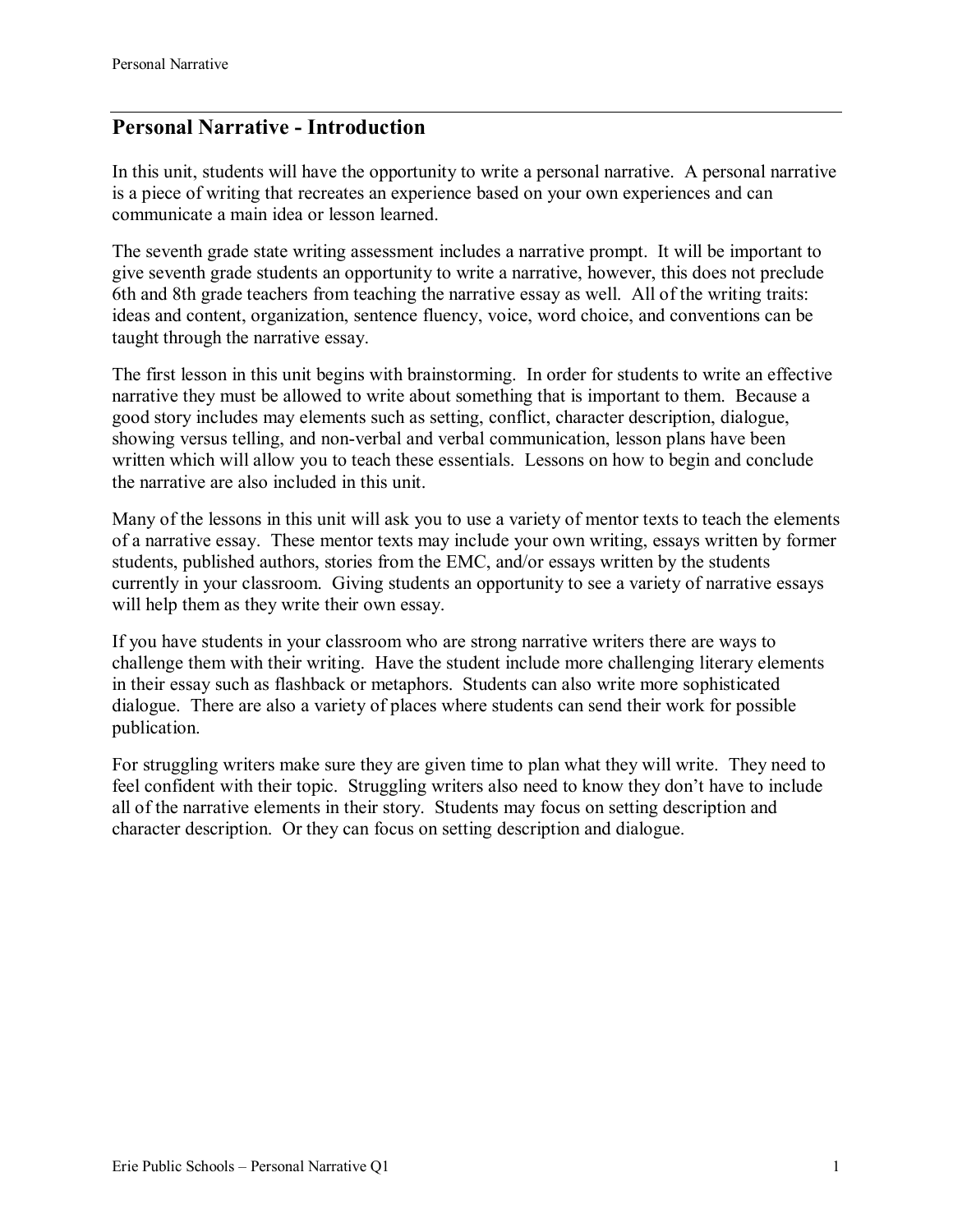## **Personal Narrative - Introduction**

In this unit, students will have the opportunity to write a personal narrative. A personal narrative is a piece of writing that recreates an experience based on your own experiences and can communicate a main idea or lesson learned.

The seventh grade state writing assessment includes a narrative prompt. It will be important to give seventh grade students an opportunity to write a narrative, however, this does not preclude 6th and 8th grade teachers from teaching the narrative essay as well. All of the writing traits: ideas and content, organization, sentence fluency, voice, word choice, and conventions can be taught through the narrative essay.

The first lesson in this unit begins with brainstorming. In order for students to write an effective narrative they must be allowed to write about something that is important to them. Because a good story includes may elements such as setting, conflict, character description, dialogue, showing versus telling, and non-verbal and verbal communication, lesson plans have been written which will allow you to teach these essentials. Lessons on how to begin and conclude the narrative are also included in this unit.

Many of the lessons in this unit will ask you to use a variety of mentor texts to teach the elements of a narrative essay. These mentor texts may include your own writing, essays written by former students, published authors, stories from the EMC, and/or essays written by the students currently in your classroom. Giving students an opportunity to see a variety of narrative essays will help them as they write their own essay.

If you have students in your classroom who are strong narrative writers there are ways to challenge them with their writing. Have the student include more challenging literary elements in their essay such as flashback or metaphors. Students can also write more sophisticated dialogue. There are also a variety of places where students can send their work for possible publication.

For struggling writers make sure they are given time to plan what they will write. They need to feel confident with their topic. Struggling writers also need to know they don't have to include all of the narrative elements in their story. Students may focus on setting description and character description. Or they can focus on setting description and dialogue.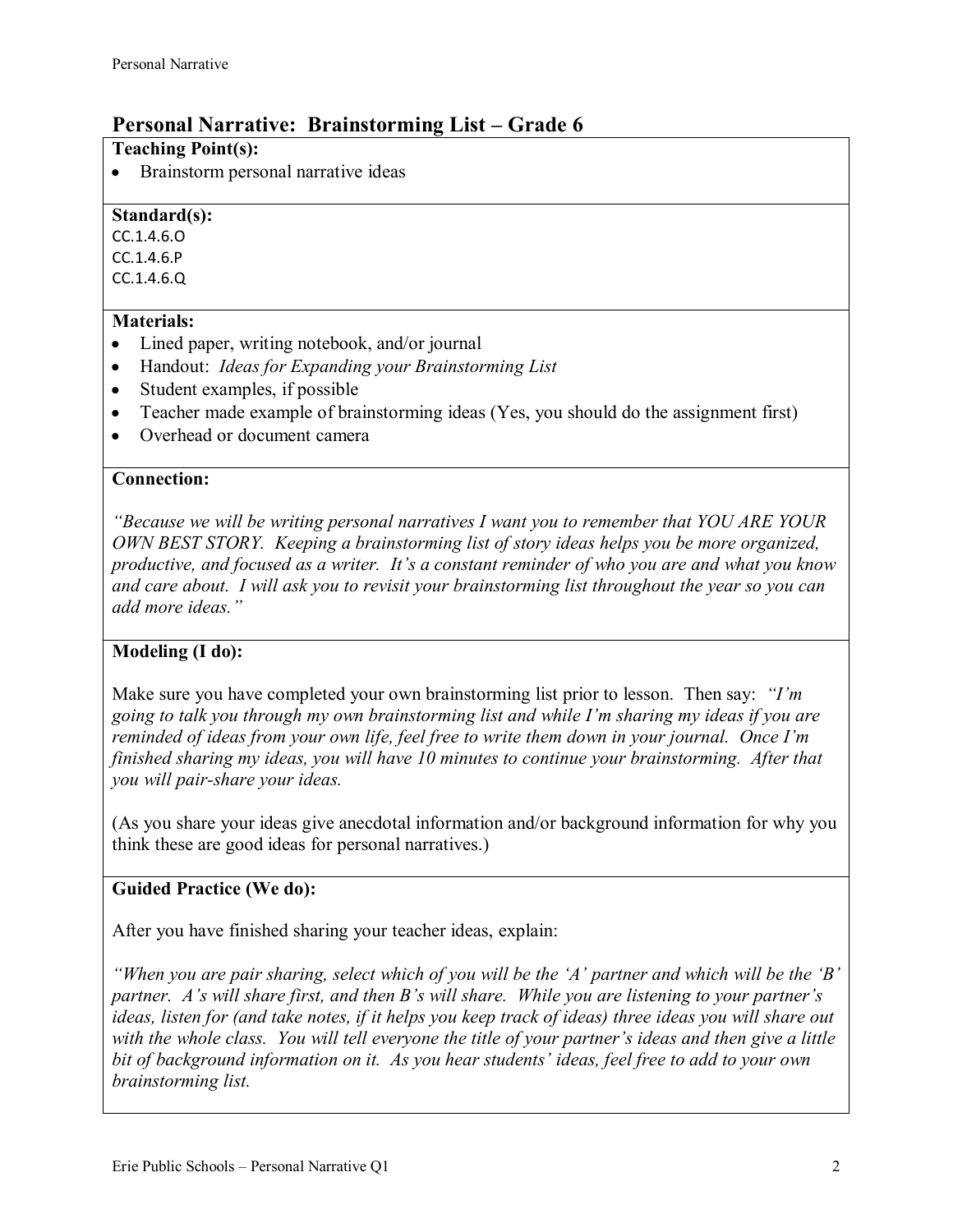## **Personal Narrative: Brainstorming List – Grade 6**

#### **Teaching Point(s):**

• Brainstorm personal narrative ideas

### **Standard(s):**

CC.1.4.6.O CC.1.4.6.P

CC.1.4.6.Q

#### **Materials:**

- Lined paper, writing notebook, and/or journal
- Handout: *Ideas for Expanding your Brainstorming List*
- Student examples, if possible
- Teacher made example of brainstorming ideas (Yes, you should do the assignment first)
- Overhead or document camera

### **Connection:**

*"Because we will be writing personal narratives I want you to remember that YOU ARE YOUR OWN BEST STORY. Keeping a brainstorming list of story ideas helps you be more organized, productive, and focused as a writer. It's a constant reminder of who you are and what you know and care about. I will ask you to revisit your brainstorming list throughout the year so you can add more ideas."* 

### **Modeling (I do):**

Make sure you have completed your own brainstorming list prior to lesson. Then say: *"I'm going to talk you through my own brainstorming list and while I'm sharing my ideas if you are reminded of ideas from your own life, feel free to write them down in your journal. Once I'm finished sharing my ideas, you will have 10 minutes to continue your brainstorming. After that you will pair-share your ideas.* 

(As you share your ideas give anecdotal information and/or background information for why you think these are good ideas for personal narratives.)

### **Guided Practice (We do):**

After you have finished sharing your teacher ideas, explain:

*"When you are pair sharing, select which of you will be the 'A' partner and which will be the 'B' partner. A's will share first, and then B's will share. While you are listening to your partner's ideas, listen for (and take notes, if it helps you keep track of ideas) three ideas you will share out with the whole class. You will tell everyone the title of your partner's ideas and then give a little bit of background information on it. As you hear students' ideas, feel free to add to your own brainstorming list.*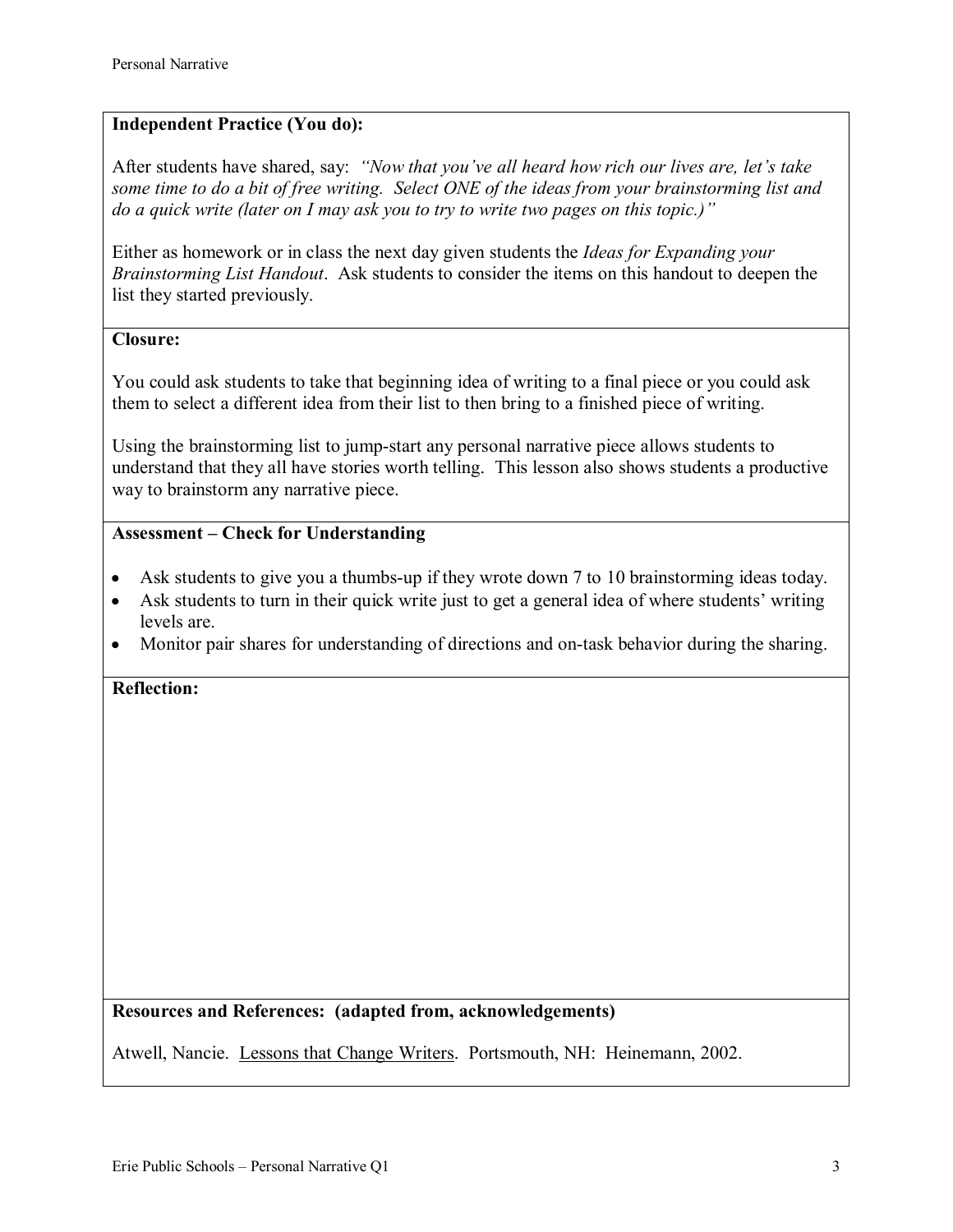### **Independent Practice (You do):**

After students have shared, say: *"Now that you've all heard how rich our lives are, let's take some time to do a bit of free writing. Select ONE of the ideas from your brainstorming list and do a quick write (later on I may ask you to try to write two pages on this topic.)"* 

Either as homework or in class the next day given students the *Ideas for Expanding your Brainstorming List Handout*. Ask students to consider the items on this handout to deepen the list they started previously.

#### **Closure:**

You could ask students to take that beginning idea of writing to a final piece or you could ask them to select a different idea from their list to then bring to a finished piece of writing.

Using the brainstorming list to jump-start any personal narrative piece allows students to understand that they all have stories worth telling. This lesson also shows students a productive way to brainstorm any narrative piece.

#### **Assessment – Check for Understanding**

- Ask students to give you a thumbs-up if they wrote down 7 to 10 brainstorming ideas today.
- Ask students to turn in their quick write just to get a general idea of where students' writing levels are.
- Monitor pair shares for understanding of directions and on-task behavior during the sharing.

#### **Reflection:**

#### **Resources and References: (adapted from, acknowledgements)**

Atwell, Nancie. Lessons that Change Writers. Portsmouth, NH: Heinemann, 2002.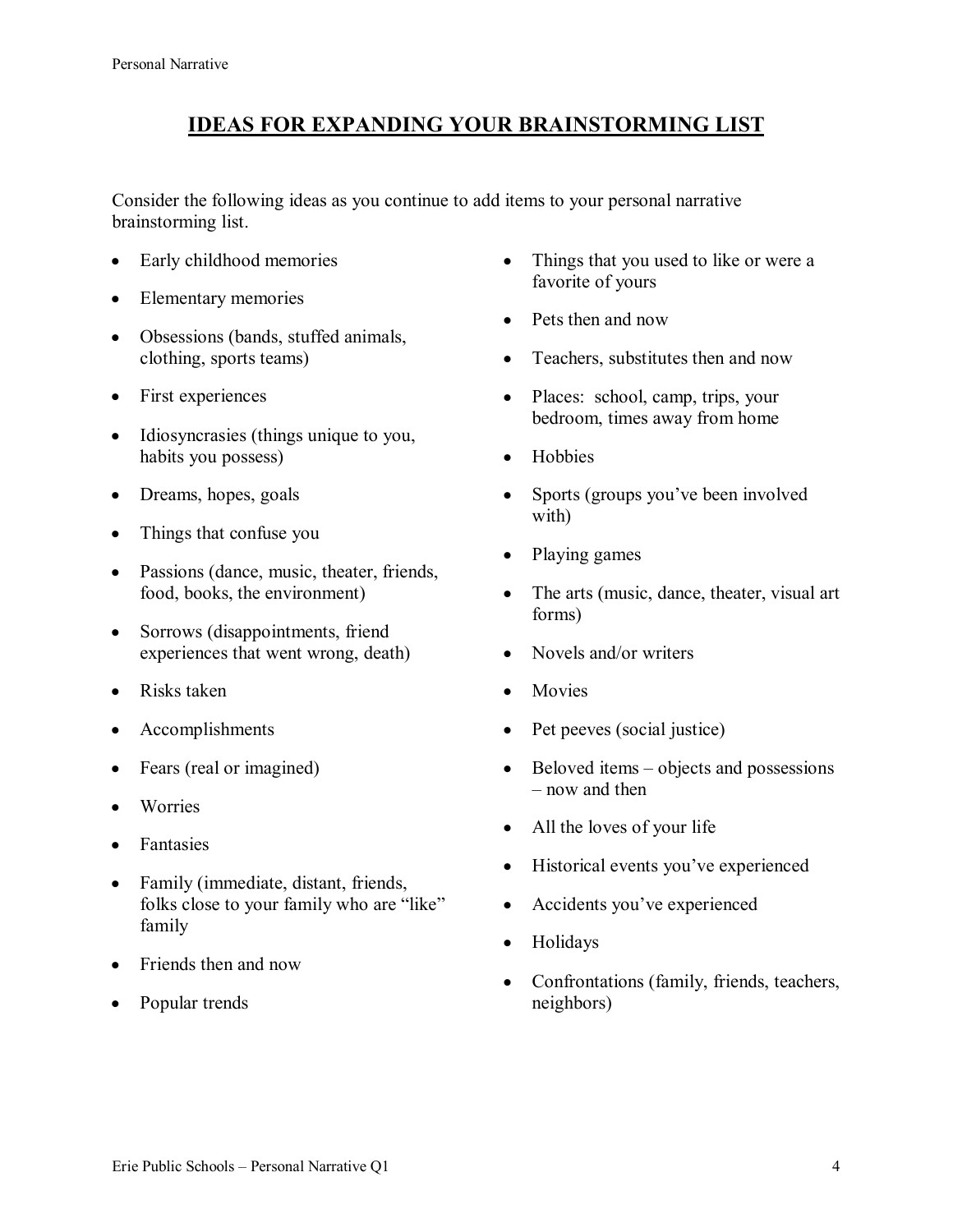## **IDEAS FOR EXPANDING YOUR BRAINSTORMING LIST**

Consider the following ideas as you continue to add items to your personal narrative brainstorming list.

- Early childhood memories
- Elementary memories
- Obsessions (bands, stuffed animals, clothing, sports teams)
- First experiences
- Idiosyncrasies (things unique to you, habits you possess)
- Dreams, hopes, goals
- Things that confuse you
- Passions (dance, music, theater, friends, food, books, the environment)
- Sorrows (disappointments, friend experiences that went wrong, death)
- Risks taken
- Accomplishments
- Fears (real or imagined)
- Worries
- Fantasies
- Family (immediate, distant, friends, folks close to your family who are "like" family
- Friends then and now
- Popular trends
- Things that you used to like or were a favorite of yours
- Pets then and now
- Teachers, substitutes then and now
- Places: school, camp, trips, your bedroom, times away from home
- Hobbies
- Sports (groups you've been involved with)
- Playing games
- The arts (music, dance, theater, visual art forms)
- Novels and/or writers
- Movies
- Pet peeves (social justice)
- Beloved items objects and possessions – now and then
- All the loves of your life
- Historical events you've experienced
- Accidents you've experienced
- Holidays
- Confrontations (family, friends, teachers, neighbors)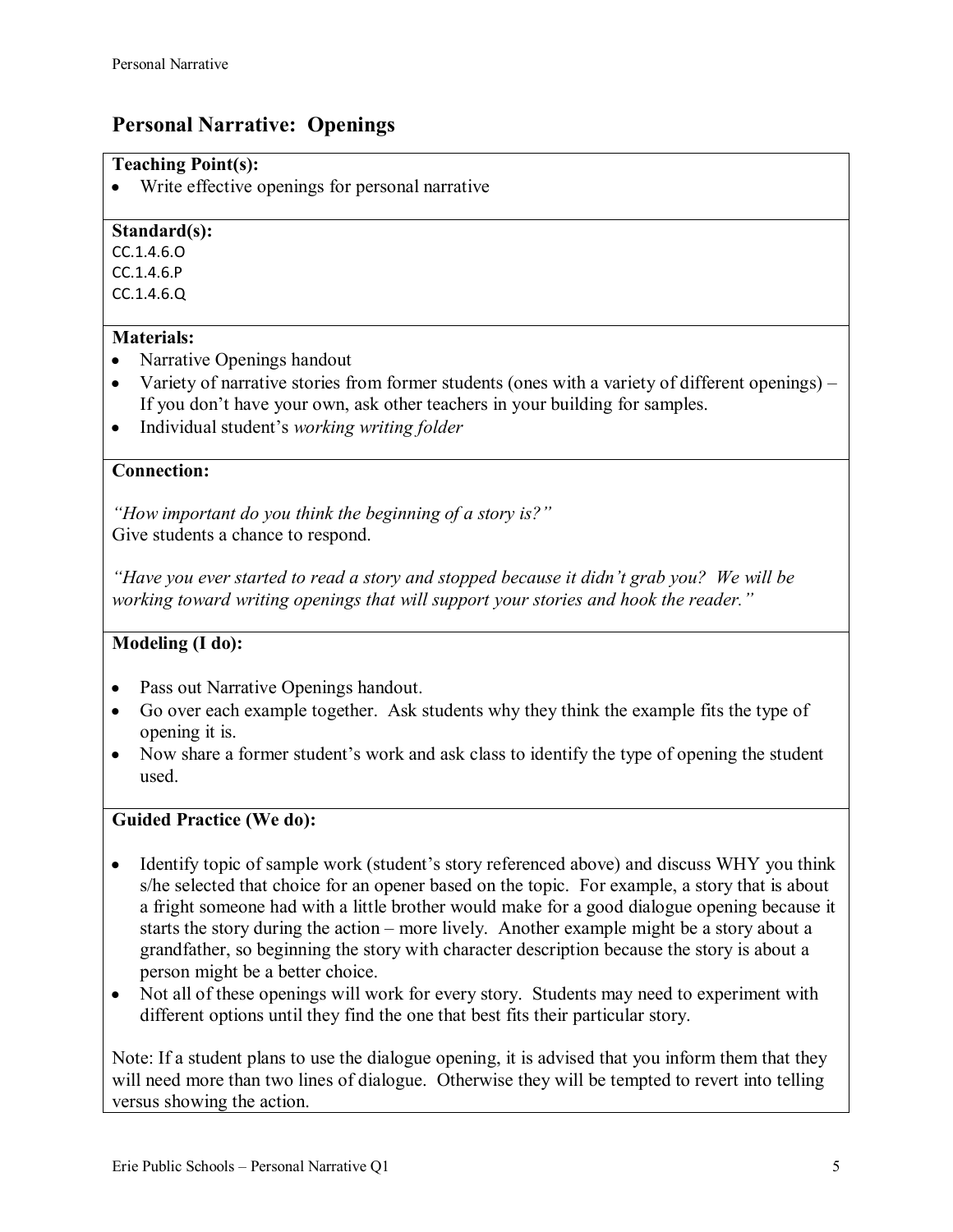## **Personal Narrative: Openings**

### **Teaching Point(s):**

Write effective openings for personal narrative

### **Standard(s):**

CC.1.4.6.O CC.1.4.6.P

CC.1.4.6.Q

### **Materials:**

- Narrative Openings handout
- Variety of narrative stories from former students (ones with a variety of different openings) If you don't have your own, ask other teachers in your building for samples.
- Individual student's *working writing folder*

### **Connection:**

*"How important do you think the beginning of a story is?"*  Give students a chance to respond.

*"Have you ever started to read a story and stopped because it didn't grab you? We will be working toward writing openings that will support your stories and hook the reader."* 

### **Modeling (I do):**

- Pass out Narrative Openings handout.
- Go over each example together. Ask students why they think the example fits the type of opening it is.
- Now share a former student's work and ask class to identify the type of opening the student used.

### **Guided Practice (We do):**

- Identify topic of sample work (student's story referenced above) and discuss WHY you think s/he selected that choice for an opener based on the topic. For example, a story that is about a fright someone had with a little brother would make for a good dialogue opening because it starts the story during the action – more lively. Another example might be a story about a grandfather, so beginning the story with character description because the story is about a person might be a better choice.
- Not all of these openings will work for every story. Students may need to experiment with different options until they find the one that best fits their particular story.

Note: If a student plans to use the dialogue opening, it is advised that you inform them that they will need more than two lines of dialogue. Otherwise they will be tempted to revert into telling versus showing the action.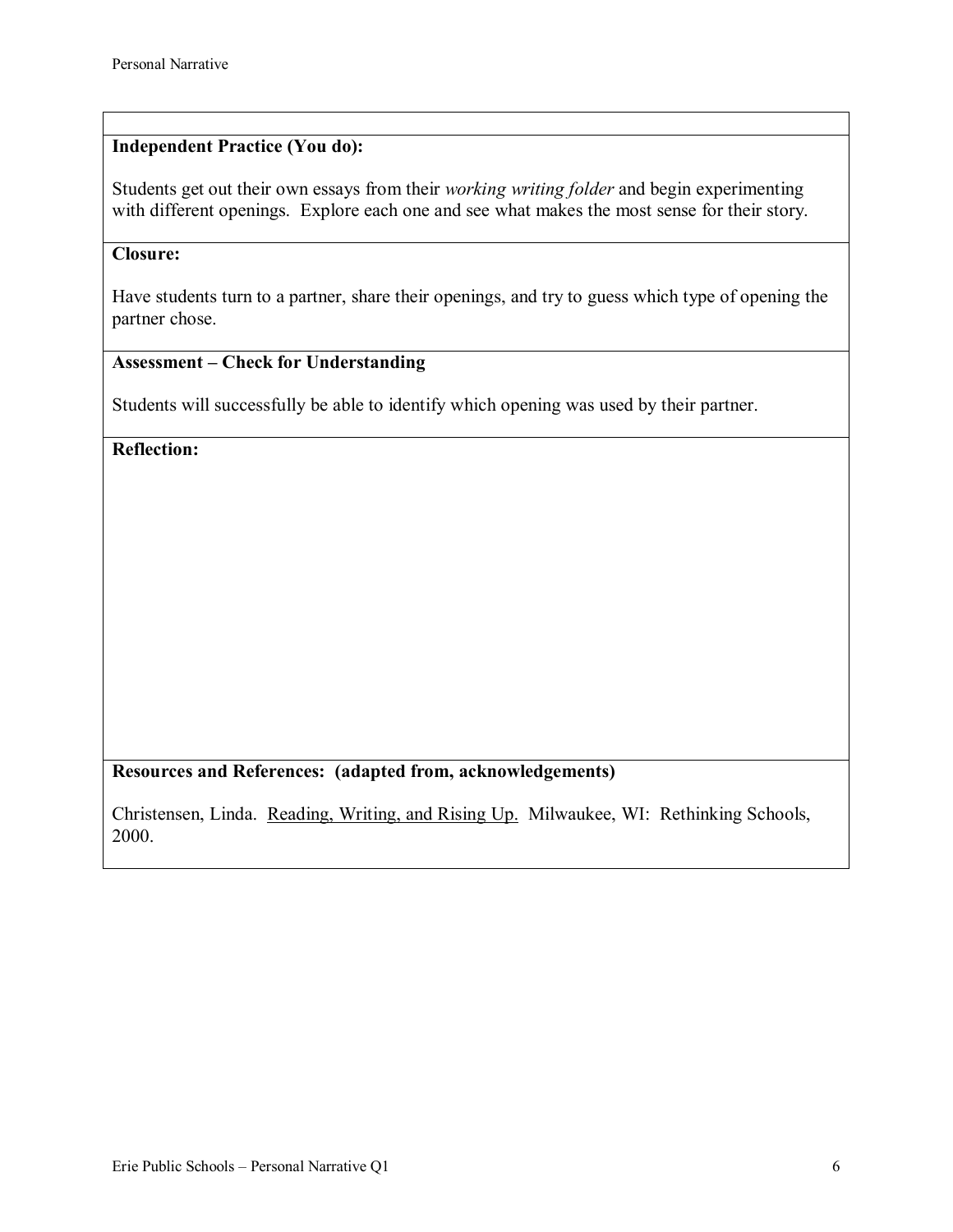### **Independent Practice (You do):**

Students get out their own essays from their *working writing folder* and begin experimenting with different openings. Explore each one and see what makes the most sense for their story.

### **Closure:**

Have students turn to a partner, share their openings, and try to guess which type of opening the partner chose.

## **Assessment – Check for Understanding**

Students will successfully be able to identify which opening was used by their partner.

#### **Reflection:**

### **Resources and References: (adapted from, acknowledgements)**

Christensen, Linda. Reading, Writing, and Rising Up. Milwaukee, WI: Rethinking Schools, 2000.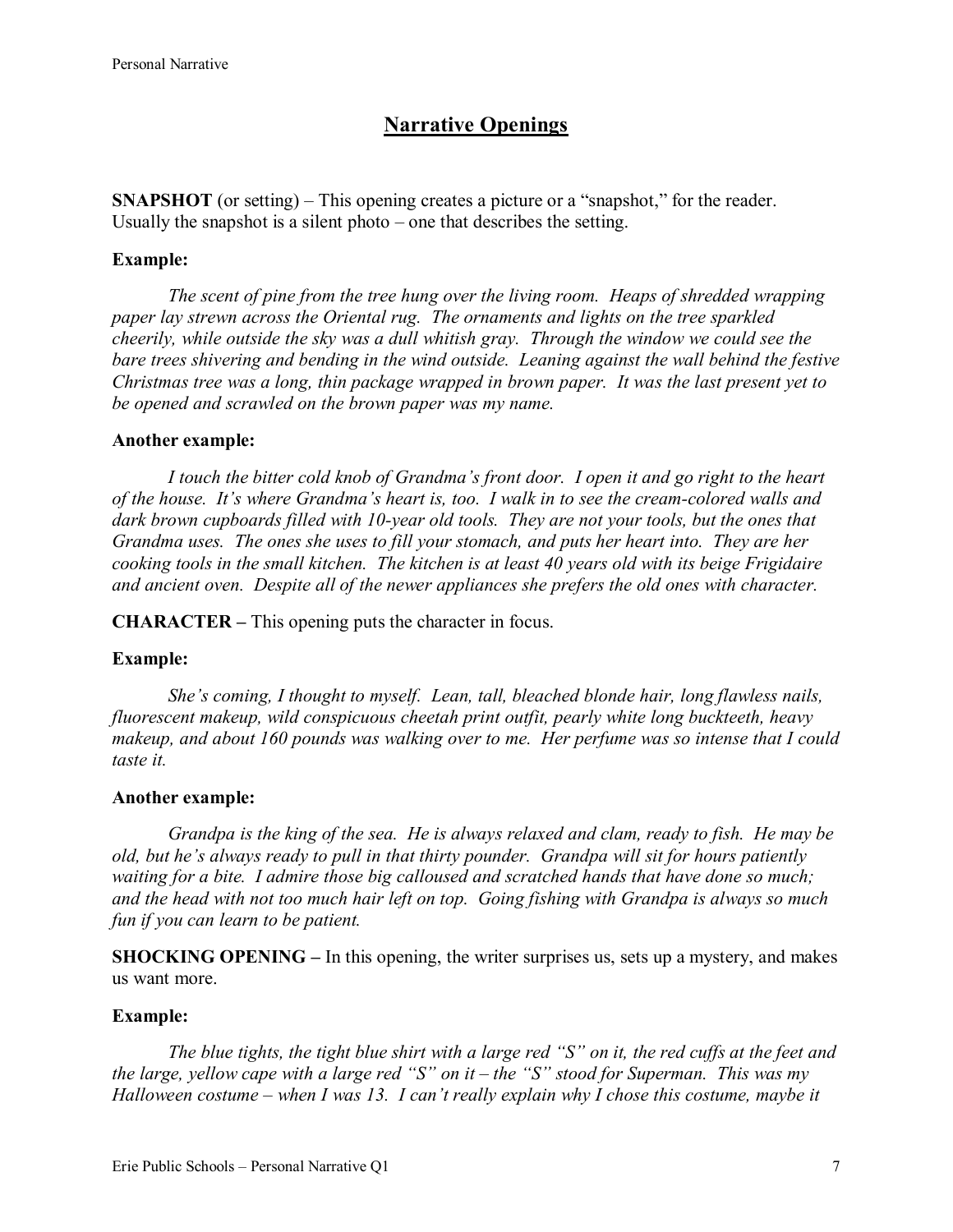## **Narrative Openings**

**SNAPSHOT** (or setting) – This opening creates a picture or a "snapshot," for the reader. Usually the snapshot is a silent photo – one that describes the setting.

#### **Example:**

 *The scent of pine from the tree hung over the living room. Heaps of shredded wrapping paper lay strewn across the Oriental rug. The ornaments and lights on the tree sparkled cheerily, while outside the sky was a dull whitish gray. Through the window we could see the bare trees shivering and bending in the wind outside. Leaning against the wall behind the festive Christmas tree was a long, thin package wrapped in brown paper. It was the last present yet to be opened and scrawled on the brown paper was my name.* 

#### **Another example:**

 *I touch the bitter cold knob of Grandma's front door. I open it and go right to the heart of the house. It's where Grandma's heart is, too. I walk in to see the cream-colored walls and dark brown cupboards filled with 10-year old tools. They are not your tools, but the ones that Grandma uses. The ones she uses to fill your stomach, and puts her heart into. They are her cooking tools in the small kitchen. The kitchen is at least 40 years old with its beige Frigidaire and ancient oven. Despite all of the newer appliances she prefers the old ones with character.* 

**CHARACTER –** This opening puts the character in focus.

#### **Example:**

 *She's coming, I thought to myself. Lean, tall, bleached blonde hair, long flawless nails, fluorescent makeup, wild conspicuous cheetah print outfit, pearly white long buckteeth, heavy makeup, and about 160 pounds was walking over to me. Her perfume was so intense that I could taste it.* 

#### **Another example:**

 *Grandpa is the king of the sea. He is always relaxed and clam, ready to fish. He may be old, but he's always ready to pull in that thirty pounder. Grandpa will sit for hours patiently waiting for a bite. I admire those big calloused and scratched hands that have done so much; and the head with not too much hair left on top. Going fishing with Grandpa is always so much fun if you can learn to be patient.* 

**SHOCKING OPENING –** In this opening, the writer surprises us, sets up a mystery, and makes us want more.

#### **Example:**

 *The blue tights, the tight blue shirt with a large red "S" on it, the red cuffs at the feet and the large, yellow cape with a large red "S" on it – the "S" stood for Superman. This was my Halloween costume – when I was 13. I can't really explain why I chose this costume, maybe it*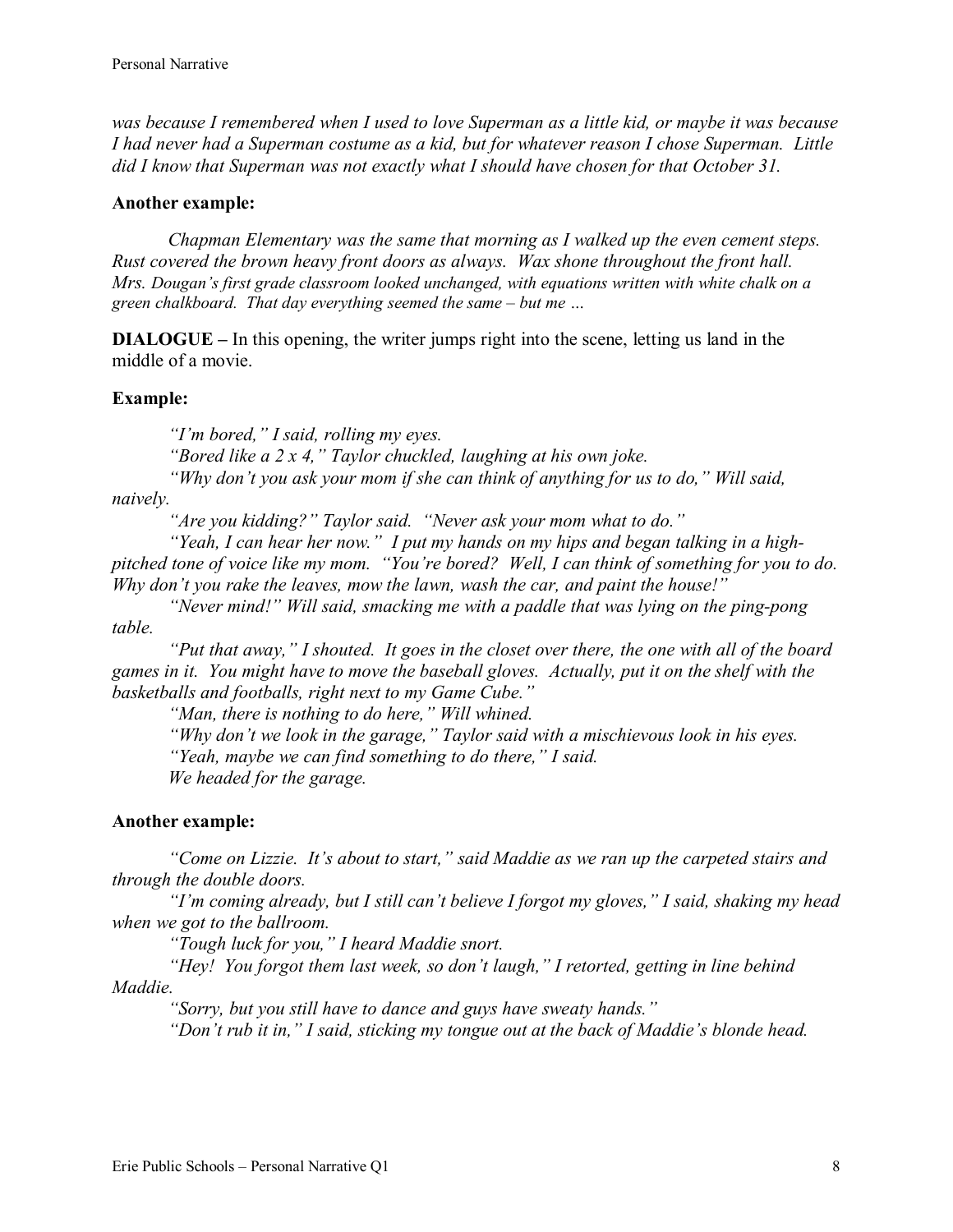*was because I remembered when I used to love Superman as a little kid, or maybe it was because I had never had a Superman costume as a kid, but for whatever reason I chose Superman. Little did I know that Superman was not exactly what I should have chosen for that October 31.* 

#### **Another example:**

 *Chapman Elementary was the same that morning as I walked up the even cement steps. Rust covered the brown heavy front doors as always. Wax shone throughout the front hall. Mrs. Dougan's first grade classroom looked unchanged, with equations written with white chalk on a green chalkboard. That day everything seemed the same – but me …* 

**DIALOGUE –** In this opening, the writer jumps right into the scene, letting us land in the middle of a movie.

### **Example:**

*"I'm bored," I said, rolling my eyes.* 

*"Bored like a 2 x 4," Taylor chuckled, laughing at his own joke.* 

*"Why don't you ask your mom if she can think of anything for us to do," Will said, naively.* 

*"Are you kidding?" Taylor said. "Never ask your mom what to do."* 

*"Yeah, I can hear her now." I put my hands on my hips and began talking in a highpitched tone of voice like my mom. "You're bored? Well, I can think of something for you to do. Why don't you rake the leaves, mow the lawn, wash the car, and paint the house!"* 

*"Never mind!" Will said, smacking me with a paddle that was lying on the ping-pong table.* 

*"Put that away," I shouted. It goes in the closet over there, the one with all of the board games in it. You might have to move the baseball gloves. Actually, put it on the shelf with the basketballs and footballs, right next to my Game Cube."* 

*"Man, there is nothing to do here," Will whined.* 

*"Why don't we look in the garage," Taylor said with a mischievous look in his eyes. "Yeah, maybe we can find something to do there," I said. We headed for the garage.* 

### **Another example:**

*"Come on Lizzie. It's about to start," said Maddie as we ran up the carpeted stairs and through the double doors.* 

*"I'm coming already, but I still can't believe I forgot my gloves," I said, shaking my head when we got to the ballroom.* 

*"Tough luck for you," I heard Maddie snort.* 

*"Hey! You forgot them last week, so don't laugh," I retorted, getting in line behind Maddie.* 

*"Sorry, but you still have to dance and guys have sweaty hands."* 

*"Don't rub it in," I said, sticking my tongue out at the back of Maddie's blonde head.*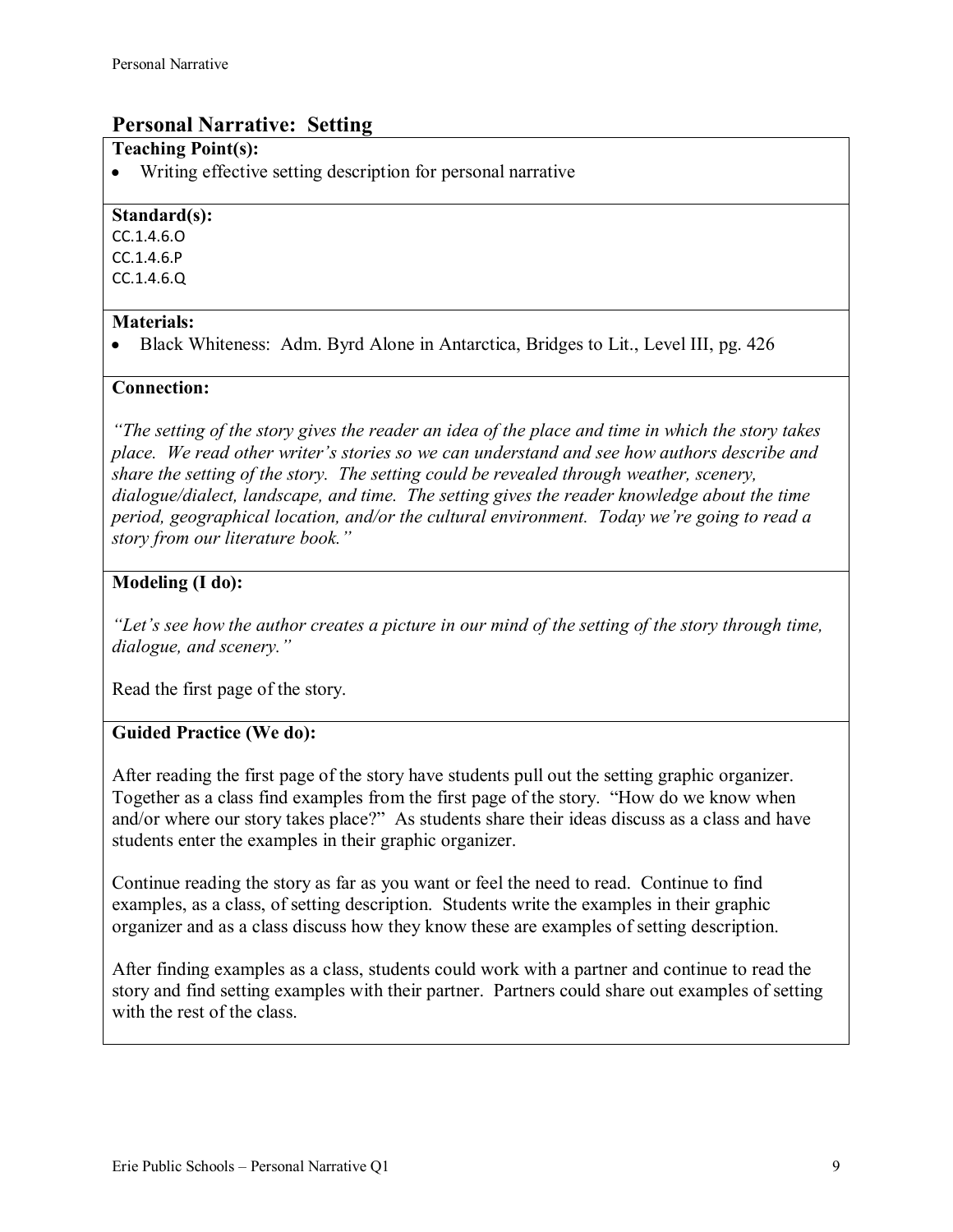## **Personal Narrative: Setting**

### **Teaching Point(s):**

Writing effective setting description for personal narrative

### **Standard(s):**

CC.1.4.6.O CC.1.4.6.P CC.1.4.6.Q

### **Materials:**

Black Whiteness: Adm. Byrd Alone in Antarctica, Bridges to Lit., Level III, pg. 426

### **Connection:**

*"The setting of the story gives the reader an idea of the place and time in which the story takes place. We read other writer's stories so we can understand and see how authors describe and share the setting of the story. The setting could be revealed through weather, scenery, dialogue/dialect, landscape, and time. The setting gives the reader knowledge about the time period, geographical location, and/or the cultural environment. Today we're going to read a story from our literature book."* 

## **Modeling (I do):**

*"Let's see how the author creates a picture in our mind of the setting of the story through time, dialogue, and scenery."* 

Read the first page of the story.

### **Guided Practice (We do):**

After reading the first page of the story have students pull out the setting graphic organizer. Together as a class find examples from the first page of the story. "How do we know when and/or where our story takes place?" As students share their ideas discuss as a class and have students enter the examples in their graphic organizer.

Continue reading the story as far as you want or feel the need to read. Continue to find examples, as a class, of setting description. Students write the examples in their graphic organizer and as a class discuss how they know these are examples of setting description.

After finding examples as a class, students could work with a partner and continue to read the story and find setting examples with their partner. Partners could share out examples of setting with the rest of the class.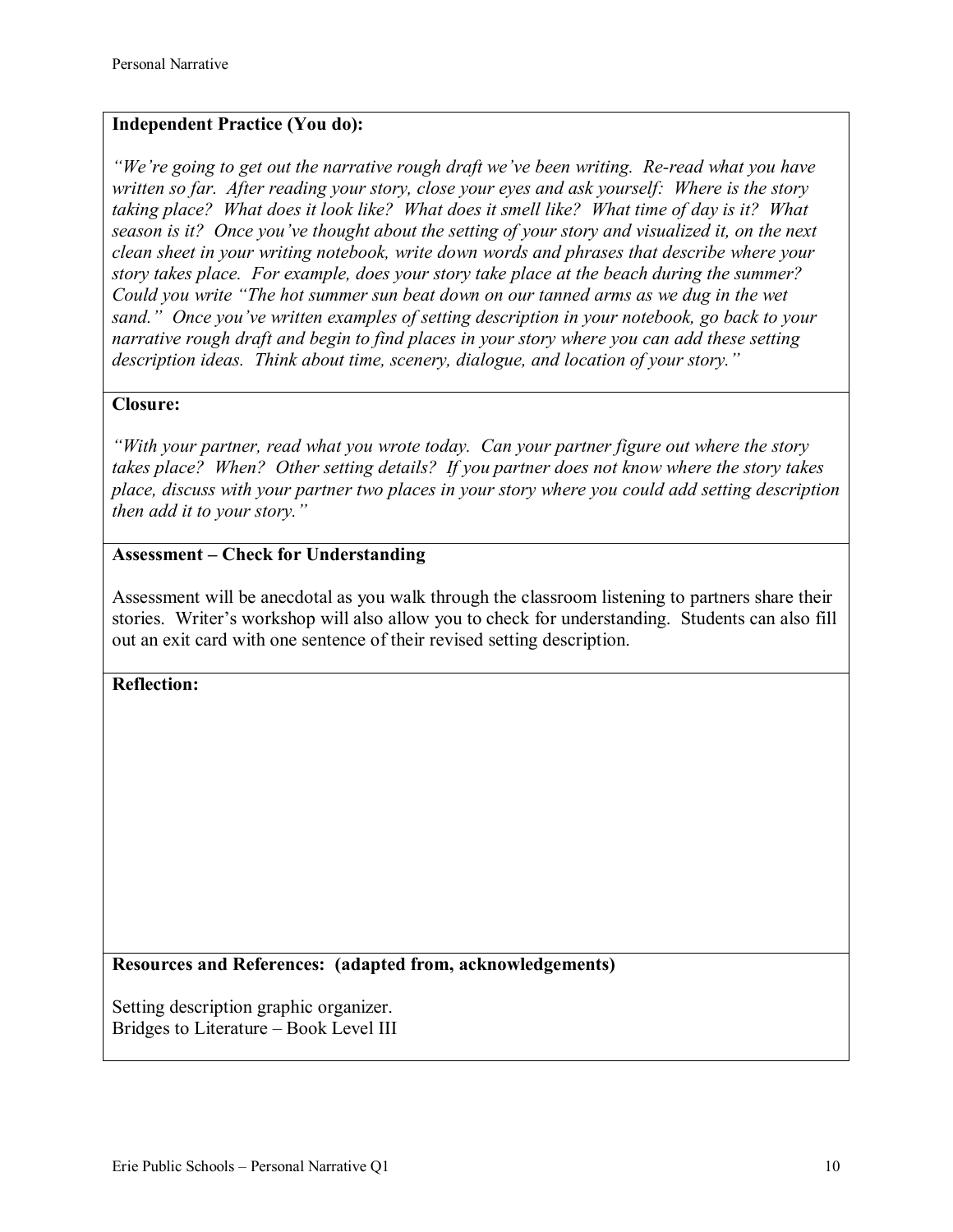### **Independent Practice (You do):**

*"We're going to get out the narrative rough draft we've been writing. Re-read what you have written so far. After reading your story, close your eyes and ask yourself: Where is the story taking place? What does it look like? What does it smell like? What time of day is it? What season is it? Once you've thought about the setting of your story and visualized it, on the next clean sheet in your writing notebook, write down words and phrases that describe where your story takes place. For example, does your story take place at the beach during the summer? Could you write "The hot summer sun beat down on our tanned arms as we dug in the wet sand." Once you've written examples of setting description in your notebook, go back to your narrative rough draft and begin to find places in your story where you can add these setting description ideas. Think about time, scenery, dialogue, and location of your story."* 

#### **Closure:**

*"With your partner, read what you wrote today. Can your partner figure out where the story takes place? When? Other setting details? If you partner does not know where the story takes place, discuss with your partner two places in your story where you could add setting description then add it to your story."* 

#### **Assessment – Check for Understanding**

Assessment will be anecdotal as you walk through the classroom listening to partners share their stories. Writer's workshop will also allow you to check for understanding. Students can also fill out an exit card with one sentence of their revised setting description.

#### **Reflection:**

**Resources and References: (adapted from, acknowledgements)** 

Setting description graphic organizer. Bridges to Literature – Book Level III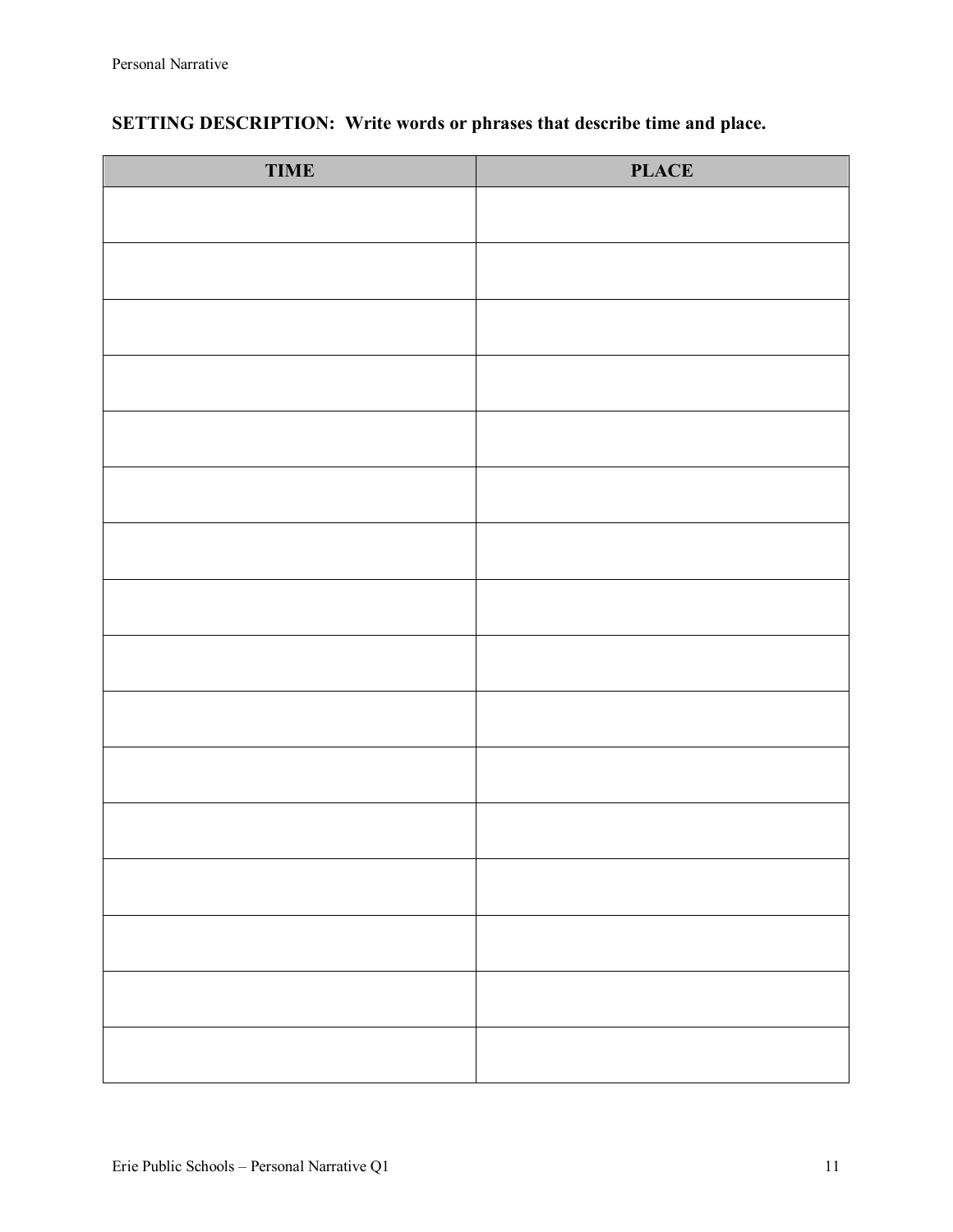|  | <b>SETTING DESCRIPTION:</b> Write words or phrases that describe time and place. |
|--|----------------------------------------------------------------------------------|
|--|----------------------------------------------------------------------------------|

| <b>TIME</b> | <b>PLACE</b> |
|-------------|--------------|
|             |              |
|             |              |
|             |              |
|             |              |
|             |              |
|             |              |
|             |              |
|             |              |
|             |              |
|             |              |
|             |              |
|             |              |
|             |              |
|             |              |
|             |              |
|             |              |
|             |              |
|             |              |
|             |              |
|             |              |
|             |              |
|             |              |
|             |              |
|             |              |
|             |              |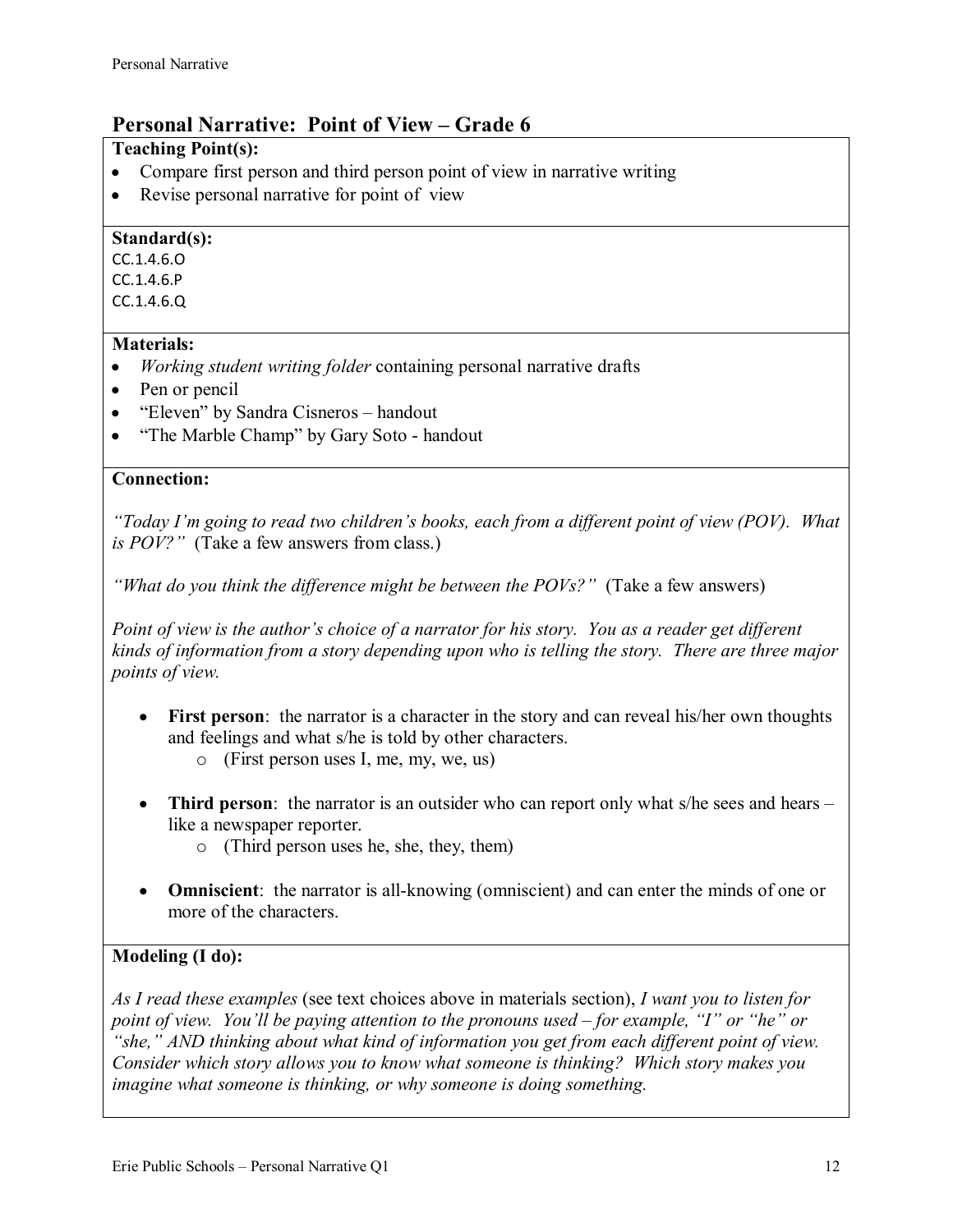## **Personal Narrative: Point of View – Grade 6**

### **Teaching Point(s):**

- Compare first person and third person point of view in narrative writing
- Revise personal narrative for point of view

#### **Standard(s):**

CC.1.4.6.O

CC.1.4.6.P

CC.1.4.6.Q

### **Materials:**

- *Working student writing folder* containing personal narrative drafts
- Pen or pencil
- "Eleven" by Sandra Cisneros handout
- "The Marble Champ" by Gary Soto handout

### **Connection:**

*"Today I'm going to read two children's books, each from a different point of view (POV). What is POV?"* (Take a few answers from class.)

*"What do you think the difference might be between the POVs?"* (Take a few answers)

*Point of view is the author's choice of a narrator for his story. You as a reader get different kinds of information from a story depending upon who is telling the story. There are three major points of view.* 

- **First person**: the narrator is a character in the story and can reveal his/her own thoughts and feelings and what s/he is told by other characters.
	- o (First person uses I, me, my, we, us)
- **Third person**: the narrator is an outsider who can report only what s/he sees and hears like a newspaper reporter.
	- o (Third person uses he, she, they, them)
- **Omniscient**: the narrator is all-knowing (omniscient) and can enter the minds of one or more of the characters.

## **Modeling (I do):**

*As I read these examples* (see text choices above in materials section), *I want you to listen for point of view. You'll be paying attention to the pronouns used – for example, "I" or "he" or "she," AND thinking about what kind of information you get from each different point of view. Consider which story allows you to know what someone is thinking? Which story makes you imagine what someone is thinking, or why someone is doing something.*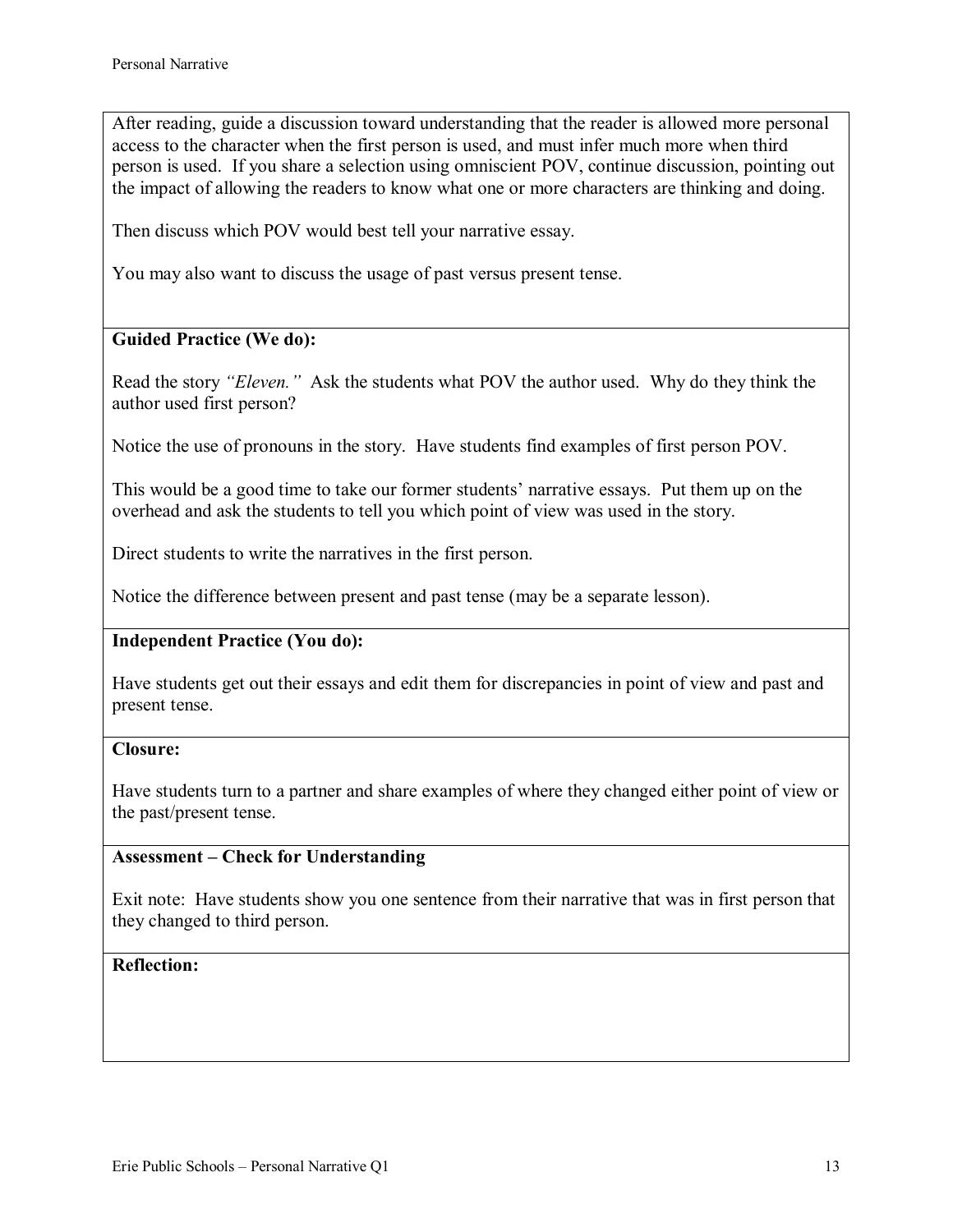After reading, guide a discussion toward understanding that the reader is allowed more personal access to the character when the first person is used, and must infer much more when third person is used. If you share a selection using omniscient POV, continue discussion, pointing out the impact of allowing the readers to know what one or more characters are thinking and doing.

Then discuss which POV would best tell your narrative essay.

You may also want to discuss the usage of past versus present tense.

### **Guided Practice (We do):**

Read the story *"Eleven."* Ask the students what POV the author used. Why do they think the author used first person?

Notice the use of pronouns in the story. Have students find examples of first person POV.

This would be a good time to take our former students' narrative essays. Put them up on the overhead and ask the students to tell you which point of view was used in the story.

Direct students to write the narratives in the first person.

Notice the difference between present and past tense (may be a separate lesson).

### **Independent Practice (You do):**

Have students get out their essays and edit them for discrepancies in point of view and past and present tense.

#### **Closure:**

Have students turn to a partner and share examples of where they changed either point of view or the past/present tense.

### **Assessment – Check for Understanding**

Exit note: Have students show you one sentence from their narrative that was in first person that they changed to third person.

#### **Reflection:**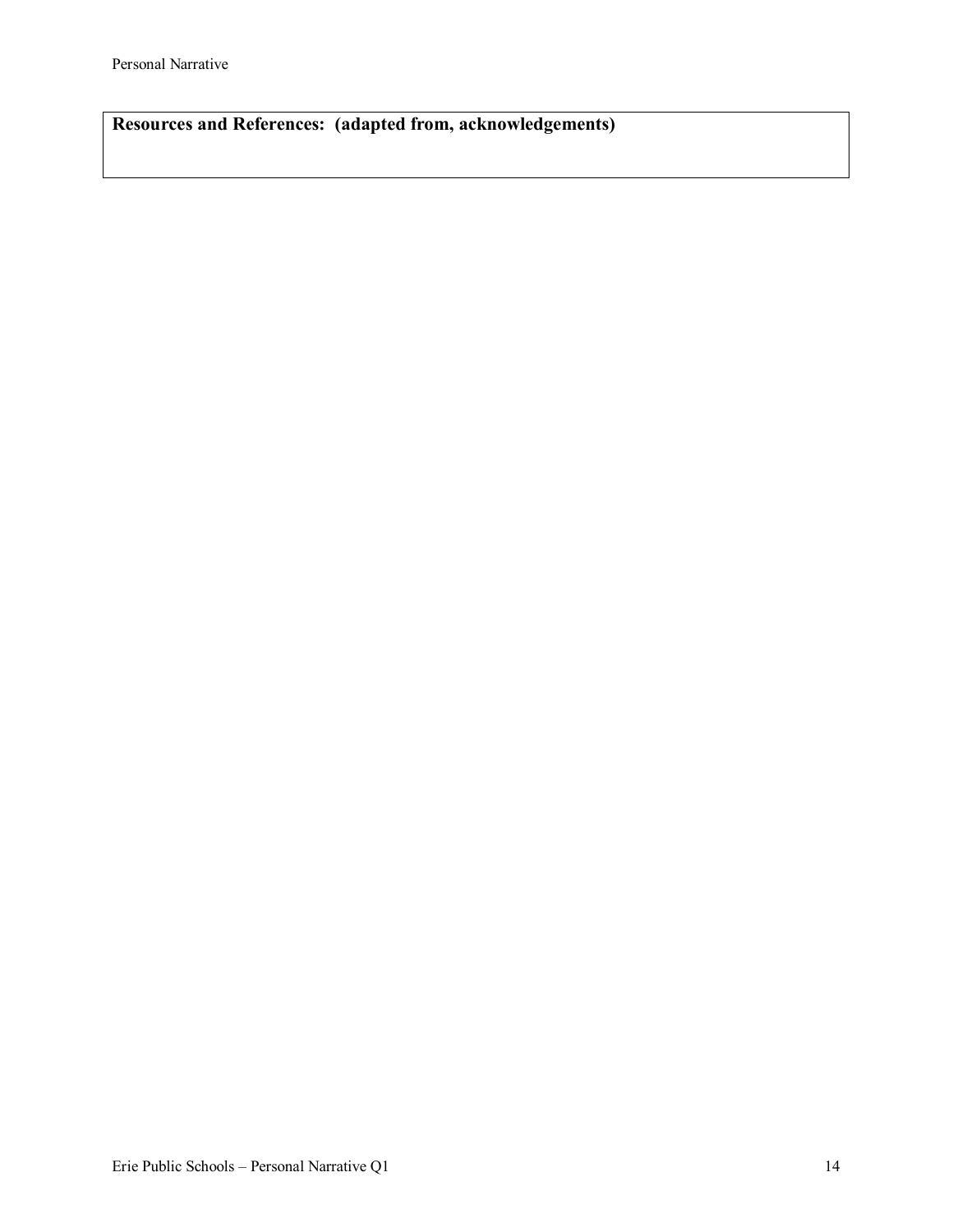**Resources and References: (adapted from, acknowledgements)**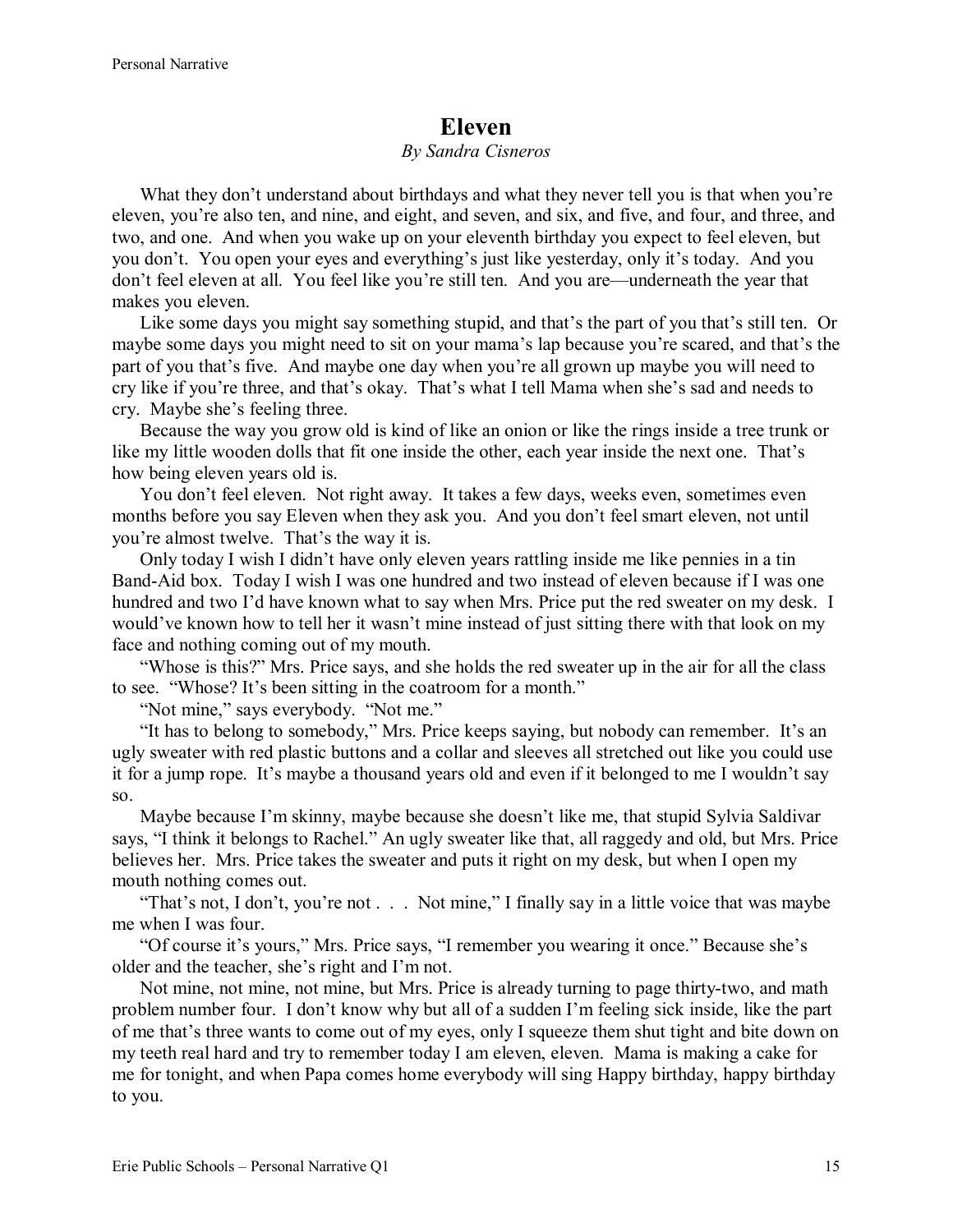## **Eleven**

#### *By Sandra Cisneros*

What they don't understand about birthdays and what they never tell you is that when you're eleven, you're also ten, and nine, and eight, and seven, and six, and five, and four, and three, and two, and one. And when you wake up on your eleventh birthday you expect to feel eleven, but you don't. You open your eyes and everything's just like yesterday, only it's today. And you don't feel eleven at all. You feel like you're still ten. And you are—underneath the year that makes you eleven.

Like some days you might say something stupid, and that's the part of you that's still ten. Or maybe some days you might need to sit on your mama's lap because you're scared, and that's the part of you that's five. And maybe one day when you're all grown up maybe you will need to cry like if you're three, and that's okay. That's what I tell Mama when she's sad and needs to cry. Maybe she's feeling three.

Because the way you grow old is kind of like an onion or like the rings inside a tree trunk or like my little wooden dolls that fit one inside the other, each year inside the next one. That's how being eleven years old is.

You don't feel eleven. Not right away. It takes a few days, weeks even, sometimes even months before you say Eleven when they ask you. And you don't feel smart eleven, not until you're almost twelve. That's the way it is.

Only today I wish I didn't have only eleven years rattling inside me like pennies in a tin Band-Aid box. Today I wish I was one hundred and two instead of eleven because if I was one hundred and two I'd have known what to say when Mrs. Price put the red sweater on my desk. I would've known how to tell her it wasn't mine instead of just sitting there with that look on my face and nothing coming out of my mouth.

"Whose is this?" Mrs. Price says, and she holds the red sweater up in the air for all the class to see. "Whose? It's been sitting in the coatroom for a month."

"Not mine," says everybody. "Not me."

"It has to belong to somebody," Mrs. Price keeps saying, but nobody can remember. It's an ugly sweater with red plastic buttons and a collar and sleeves all stretched out like you could use it for a jump rope. It's maybe a thousand years old and even if it belonged to me I wouldn't say so.

Maybe because I'm skinny, maybe because she doesn't like me, that stupid Sylvia Saldivar says, "I think it belongs to Rachel." An ugly sweater like that, all raggedy and old, but Mrs. Price believes her. Mrs. Price takes the sweater and puts it right on my desk, but when I open my mouth nothing comes out.

"That's not, I don't, you're not . . . Not mine," I finally say in a little voice that was maybe me when I was four.

"Of course it's yours," Mrs. Price says, "I remember you wearing it once." Because she's older and the teacher, she's right and I'm not.

Not mine, not mine, not mine, but Mrs. Price is already turning to page thirty-two, and math problem number four. I don't know why but all of a sudden I'm feeling sick inside, like the part of me that's three wants to come out of my eyes, only I squeeze them shut tight and bite down on my teeth real hard and try to remember today I am eleven, eleven. Mama is making a cake for me for tonight, and when Papa comes home everybody will sing Happy birthday, happy birthday to you.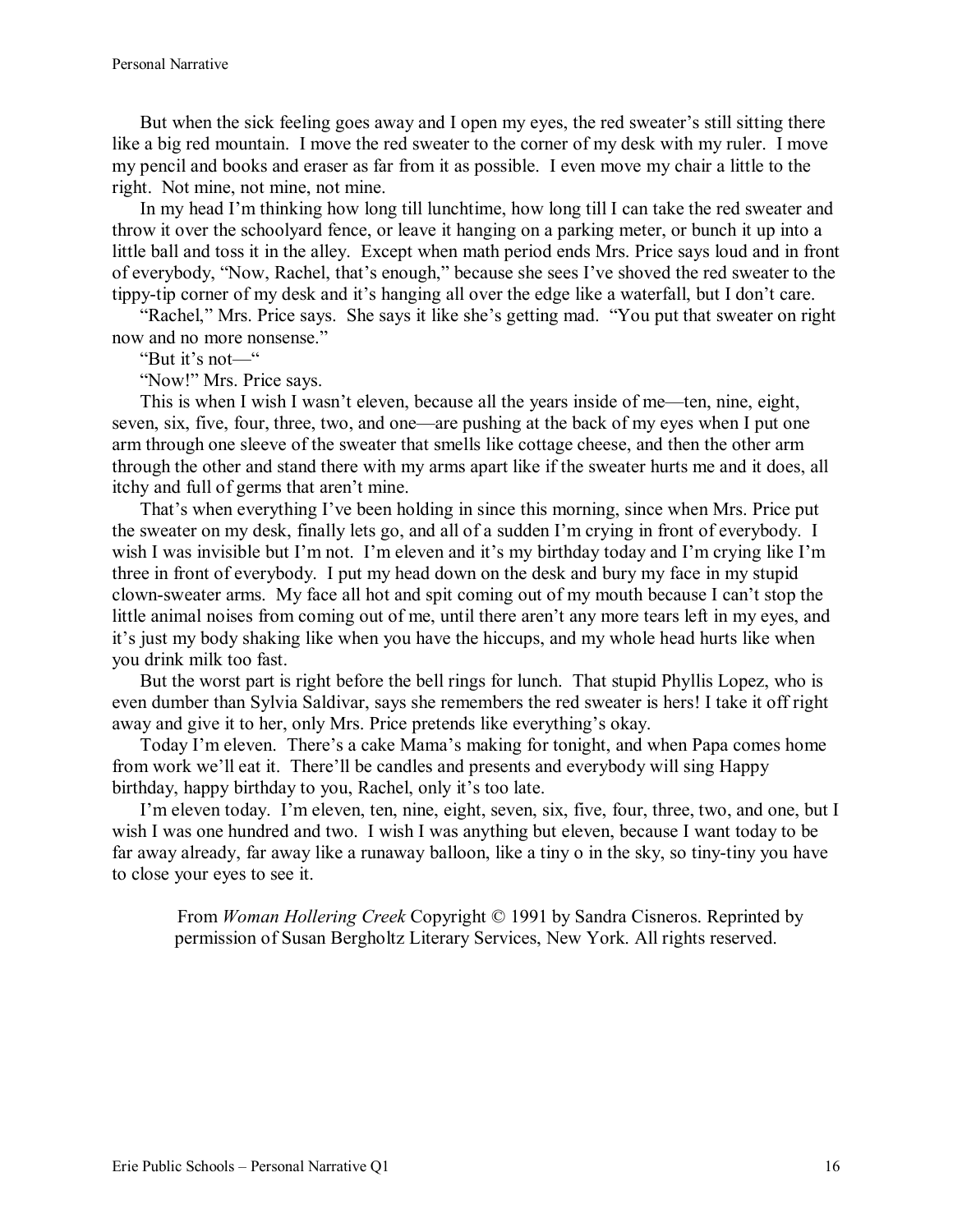But when the sick feeling goes away and I open my eyes, the red sweater's still sitting there like a big red mountain. I move the red sweater to the corner of my desk with my ruler. I move my pencil and books and eraser as far from it as possible. I even move my chair a little to the right. Not mine, not mine, not mine.

In my head I'm thinking how long till lunchtime, how long till I can take the red sweater and throw it over the schoolyard fence, or leave it hanging on a parking meter, or bunch it up into a little ball and toss it in the alley. Except when math period ends Mrs. Price says loud and in front of everybody, "Now, Rachel, that's enough," because she sees I've shoved the red sweater to the tippy-tip corner of my desk and it's hanging all over the edge like a waterfall, but I don't care.

"Rachel," Mrs. Price says. She says it like she's getting mad. "You put that sweater on right now and no more nonsense."

"But it's not—"

"Now!" Mrs. Price says.

This is when I wish I wasn't eleven, because all the years inside of me—ten, nine, eight, seven, six, five, four, three, two, and one—are pushing at the back of my eyes when I put one arm through one sleeve of the sweater that smells like cottage cheese, and then the other arm through the other and stand there with my arms apart like if the sweater hurts me and it does, all itchy and full of germs that aren't mine.

That's when everything I've been holding in since this morning, since when Mrs. Price put the sweater on my desk, finally lets go, and all of a sudden I'm crying in front of everybody. I wish I was invisible but I'm not. I'm eleven and it's my birthday today and I'm crying like I'm three in front of everybody. I put my head down on the desk and bury my face in my stupid clown-sweater arms. My face all hot and spit coming out of my mouth because I can't stop the little animal noises from coming out of me, until there aren't any more tears left in my eyes, and it's just my body shaking like when you have the hiccups, and my whole head hurts like when you drink milk too fast.

But the worst part is right before the bell rings for lunch. That stupid Phyllis Lopez, who is even dumber than Sylvia Saldivar, says she remembers the red sweater is hers! I take it off right away and give it to her, only Mrs. Price pretends like everything's okay.

Today I'm eleven. There's a cake Mama's making for tonight, and when Papa comes home from work we'll eat it. There'll be candles and presents and everybody will sing Happy birthday, happy birthday to you, Rachel, only it's too late.

I'm eleven today. I'm eleven, ten, nine, eight, seven, six, five, four, three, two, and one, but I wish I was one hundred and two. I wish I was anything but eleven, because I want today to be far away already, far away like a runaway balloon, like a tiny o in the sky, so tiny-tiny you have to close your eyes to see it.

From *Woman Hollering Creek* Copyright © 1991 by Sandra Cisneros. Reprinted by permission of Susan Bergholtz Literary Services, New York. All rights reserved.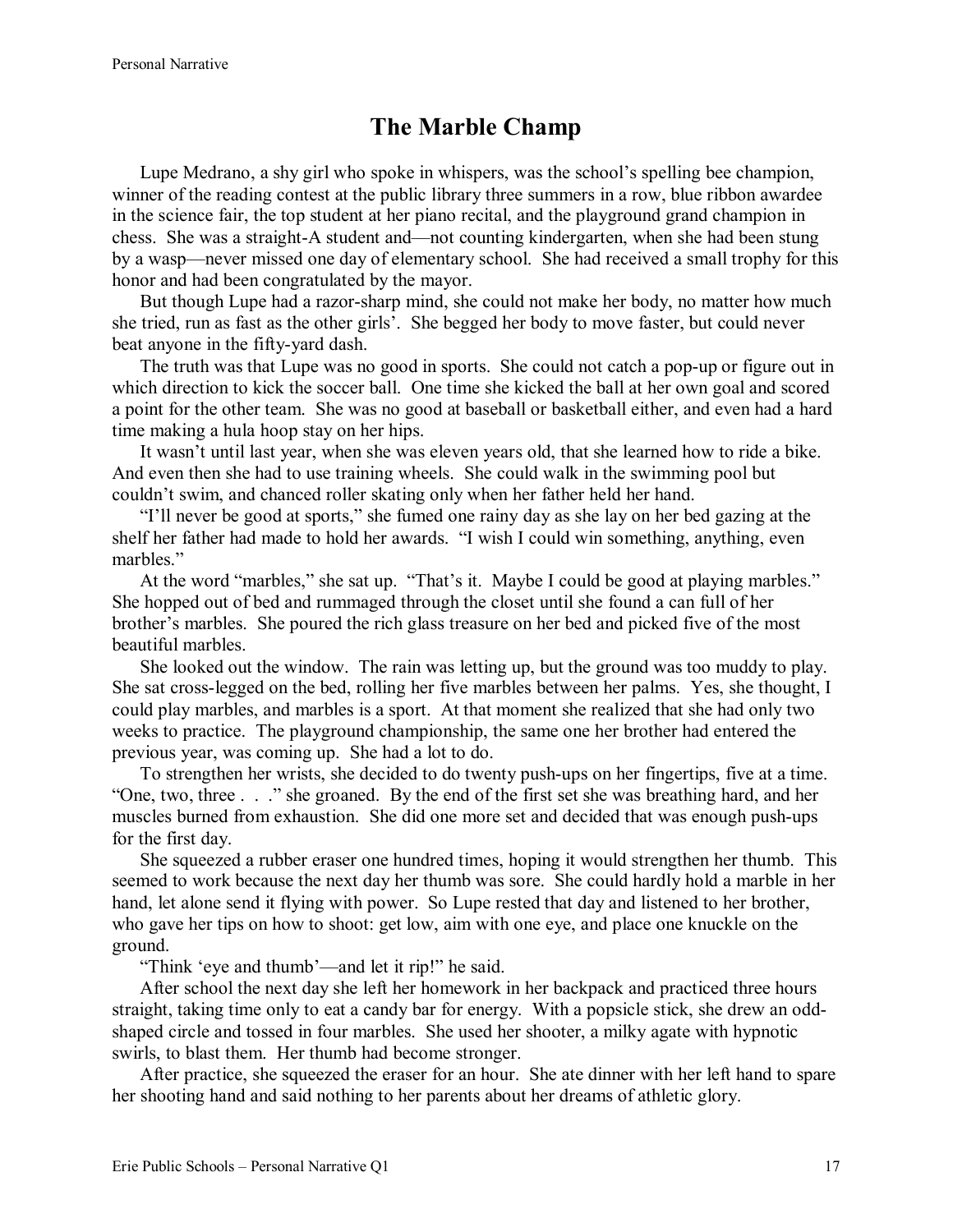## **The Marble Champ**

Lupe Medrano, a shy girl who spoke in whispers, was the school's spelling bee champion, winner of the reading contest at the public library three summers in a row, blue ribbon awardee in the science fair, the top student at her piano recital, and the playground grand champion in chess. She was a straight-A student and—not counting kindergarten, when she had been stung by a wasp—never missed one day of elementary school. She had received a small trophy for this honor and had been congratulated by the mayor.

But though Lupe had a razor-sharp mind, she could not make her body, no matter how much she tried, run as fast as the other girls'. She begged her body to move faster, but could never beat anyone in the fifty-yard dash.

The truth was that Lupe was no good in sports. She could not catch a pop-up or figure out in which direction to kick the soccer ball. One time she kicked the ball at her own goal and scored a point for the other team. She was no good at baseball or basketball either, and even had a hard time making a hula hoop stay on her hips.

It wasn't until last year, when she was eleven years old, that she learned how to ride a bike. And even then she had to use training wheels. She could walk in the swimming pool but couldn't swim, and chanced roller skating only when her father held her hand.

"I'll never be good at sports," she fumed one rainy day as she lay on her bed gazing at the shelf her father had made to hold her awards. "I wish I could win something, anything, even marbles."

At the word "marbles," she sat up. "That's it. Maybe I could be good at playing marbles." She hopped out of bed and rummaged through the closet until she found a can full of her brother's marbles. She poured the rich glass treasure on her bed and picked five of the most beautiful marbles.

She looked out the window. The rain was letting up, but the ground was too muddy to play. She sat cross-legged on the bed, rolling her five marbles between her palms. Yes, she thought, I could play marbles, and marbles is a sport. At that moment she realized that she had only two weeks to practice. The playground championship, the same one her brother had entered the previous year, was coming up. She had a lot to do.

To strengthen her wrists, she decided to do twenty push-ups on her fingertips, five at a time. "One, two, three . . ." she groaned. By the end of the first set she was breathing hard, and her muscles burned from exhaustion. She did one more set and decided that was enough push-ups for the first day.

She squeezed a rubber eraser one hundred times, hoping it would strengthen her thumb. This seemed to work because the next day her thumb was sore. She could hardly hold a marble in her hand, let alone send it flying with power. So Lupe rested that day and listened to her brother, who gave her tips on how to shoot: get low, aim with one eye, and place one knuckle on the ground.

"Think 'eye and thumb'—and let it rip!" he said.

After school the next day she left her homework in her backpack and practiced three hours straight, taking time only to eat a candy bar for energy. With a popsicle stick, she drew an oddshaped circle and tossed in four marbles. She used her shooter, a milky agate with hypnotic swirls, to blast them. Her thumb had become stronger.

After practice, she squeezed the eraser for an hour. She ate dinner with her left hand to spare her shooting hand and said nothing to her parents about her dreams of athletic glory.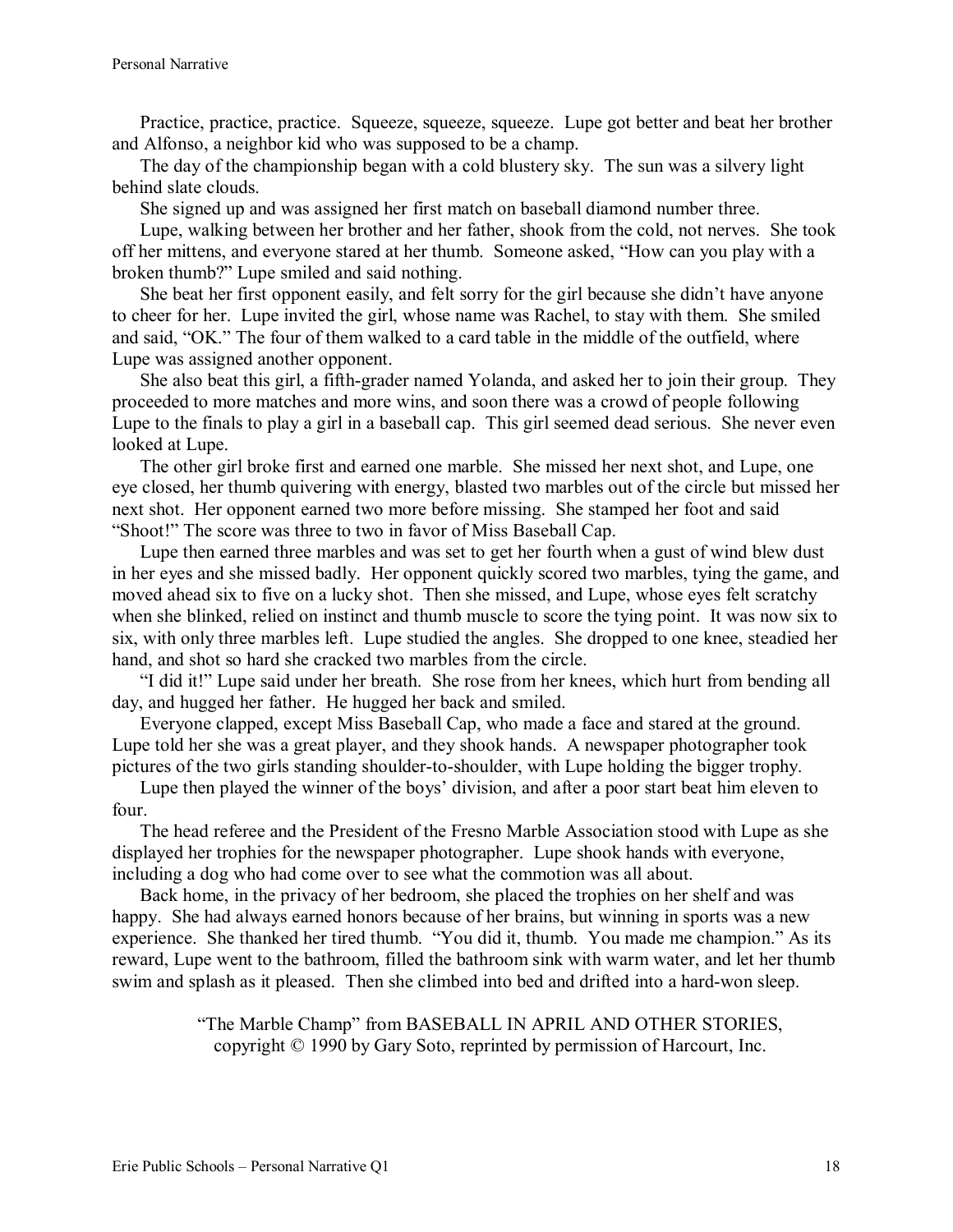Practice, practice, practice. Squeeze, squeeze, squeeze. Lupe got better and beat her brother and Alfonso, a neighbor kid who was supposed to be a champ.

The day of the championship began with a cold blustery sky. The sun was a silvery light behind slate clouds.

She signed up and was assigned her first match on baseball diamond number three.

Lupe, walking between her brother and her father, shook from the cold, not nerves. She took off her mittens, and everyone stared at her thumb. Someone asked, "How can you play with a broken thumb?" Lupe smiled and said nothing.

She beat her first opponent easily, and felt sorry for the girl because she didn't have anyone to cheer for her. Lupe invited the girl, whose name was Rachel, to stay with them. She smiled and said, "OK." The four of them walked to a card table in the middle of the outfield, where Lupe was assigned another opponent.

She also beat this girl, a fifth-grader named Yolanda, and asked her to join their group. They proceeded to more matches and more wins, and soon there was a crowd of people following Lupe to the finals to play a girl in a baseball cap. This girl seemed dead serious. She never even looked at Lupe.

The other girl broke first and earned one marble. She missed her next shot, and Lupe, one eye closed, her thumb quivering with energy, blasted two marbles out of the circle but missed her next shot. Her opponent earned two more before missing. She stamped her foot and said "Shoot!" The score was three to two in favor of Miss Baseball Cap.

Lupe then earned three marbles and was set to get her fourth when a gust of wind blew dust in her eyes and she missed badly. Her opponent quickly scored two marbles, tying the game, and moved ahead six to five on a lucky shot. Then she missed, and Lupe, whose eyes felt scratchy when she blinked, relied on instinct and thumb muscle to score the tying point. It was now six to six, with only three marbles left. Lupe studied the angles. She dropped to one knee, steadied her hand, and shot so hard she cracked two marbles from the circle.

"I did it!" Lupe said under her breath. She rose from her knees, which hurt from bending all day, and hugged her father. He hugged her back and smiled.

Everyone clapped, except Miss Baseball Cap, who made a face and stared at the ground. Lupe told her she was a great player, and they shook hands. A newspaper photographer took pictures of the two girls standing shoulder-to-shoulder, with Lupe holding the bigger trophy.

Lupe then played the winner of the boys' division, and after a poor start beat him eleven to four.

The head referee and the President of the Fresno Marble Association stood with Lupe as she displayed her trophies for the newspaper photographer. Lupe shook hands with everyone, including a dog who had come over to see what the commotion was all about.

Back home, in the privacy of her bedroom, she placed the trophies on her shelf and was happy. She had always earned honors because of her brains, but winning in sports was a new experience. She thanked her tired thumb. "You did it, thumb. You made me champion." As its reward, Lupe went to the bathroom, filled the bathroom sink with warm water, and let her thumb swim and splash as it pleased. Then she climbed into bed and drifted into a hard-won sleep.

> "The Marble Champ" from BASEBALL IN APRIL AND OTHER STORIES, copyright © 1990 by Gary Soto, reprinted by permission of Harcourt, Inc.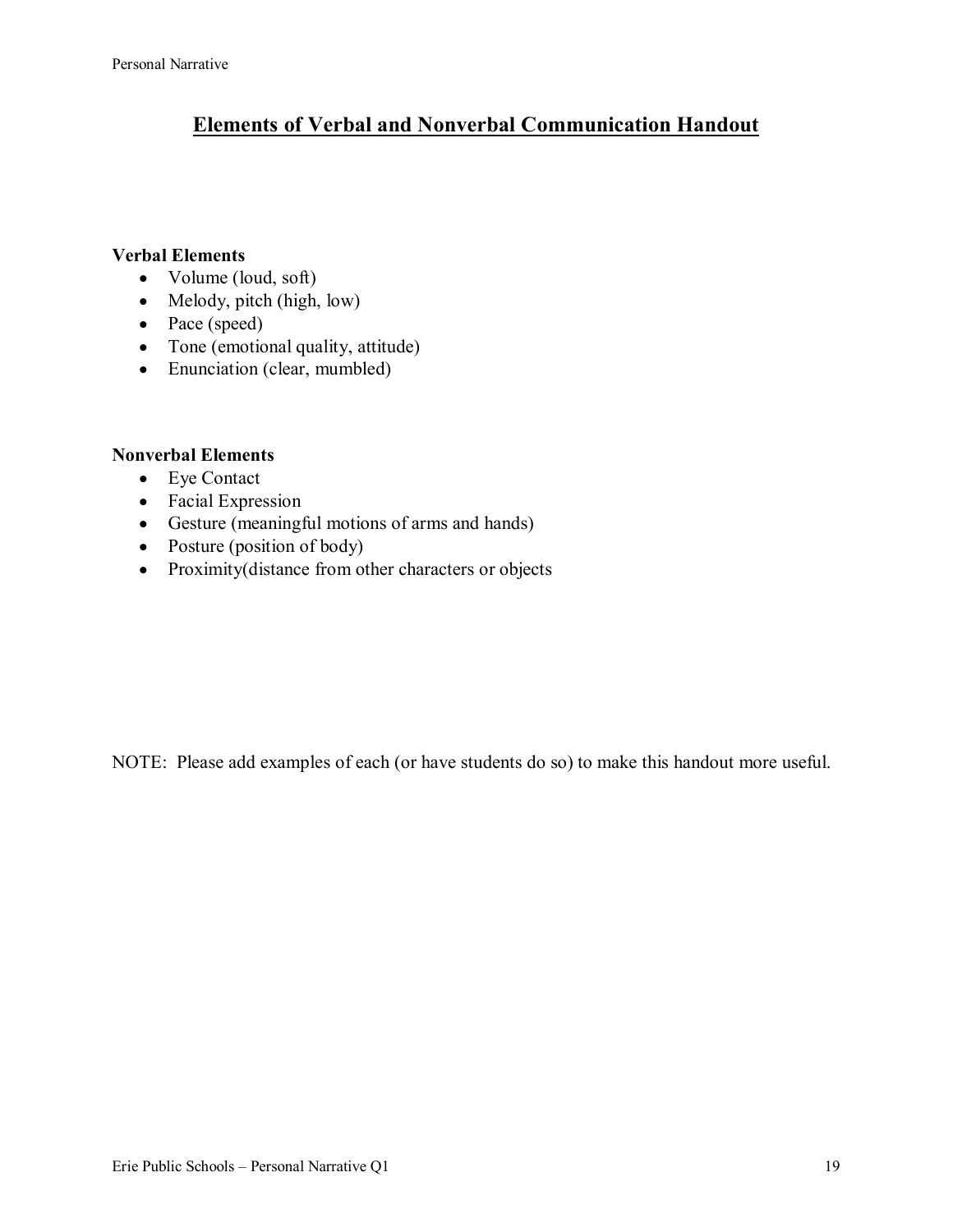## **Elements of Verbal and Nonverbal Communication Handout**

#### **Verbal Elements**

- Volume (loud, soft)
- $\bullet$  Melody, pitch (high, low)
- Pace (speed)
- Tone (emotional quality, attitude)
- Enunciation (clear, mumbled)

### **Nonverbal Elements**

- Eye Contact
- Facial Expression
- Gesture (meaningful motions of arms and hands)
- Posture (position of body)
- Proximity(distance from other characters or objects

NOTE: Please add examples of each (or have students do so) to make this handout more useful.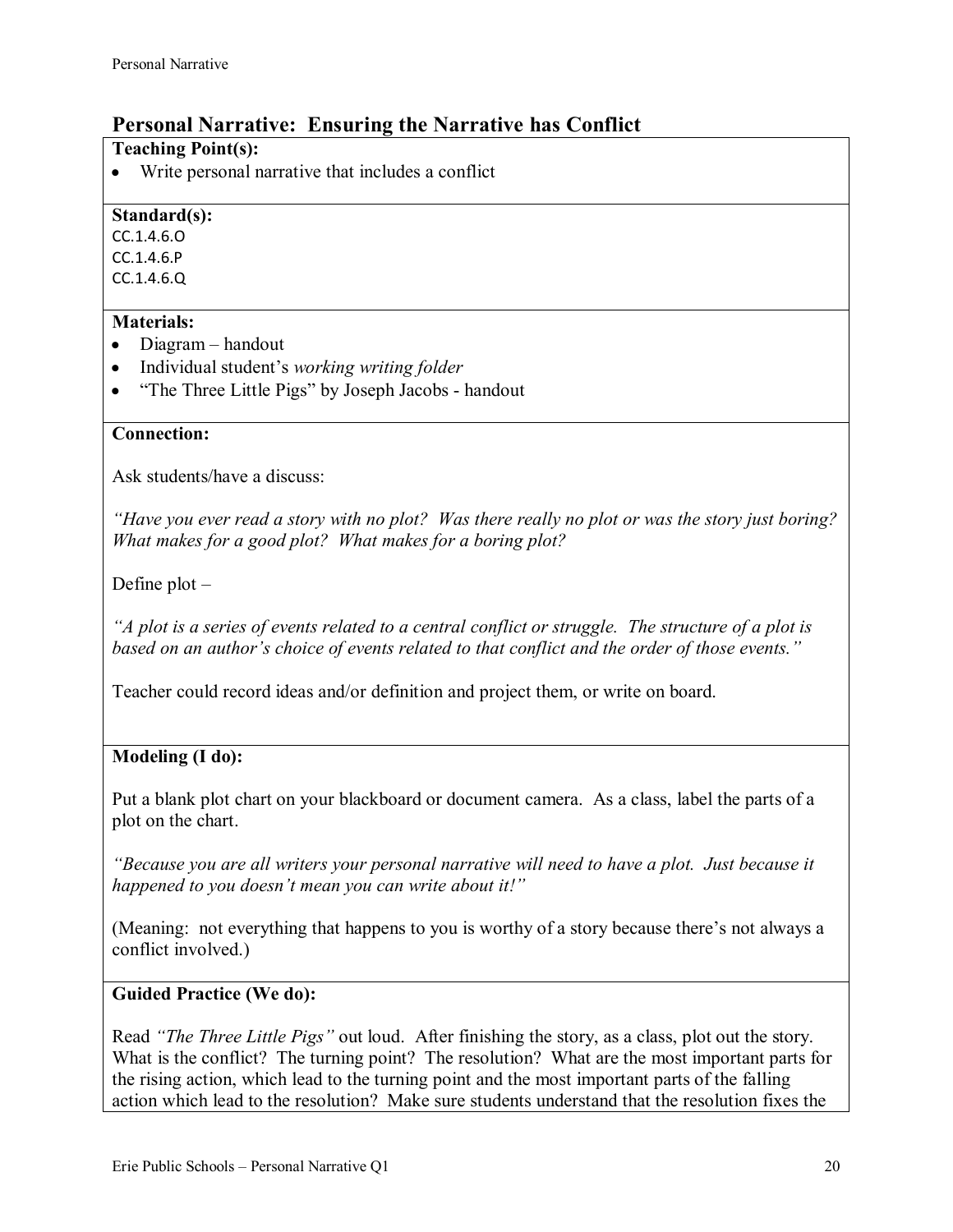## **Personal Narrative: Ensuring the Narrative has Conflict**

### **Teaching Point(s):**

Write personal narrative that includes a conflict

### **Standard(s):**

CC.1.4.6.O CC.1.4.6.P CC.1.4.6.Q

### **Materials:**

- Diagram handout
- Individual student's *working writing folder*
- "The Three Little Pigs" by Joseph Jacobs handout

### **Connection:**

Ask students/have a discuss:

*"Have you ever read a story with no plot? Was there really no plot or was the story just boring? What makes for a good plot? What makes for a boring plot?* 

Define plot –

*"A plot is a series of events related to a central conflict or struggle. The structure of a plot is based on an author's choice of events related to that conflict and the order of those events."* 

Teacher could record ideas and/or definition and project them, or write on board.

## **Modeling (I do):**

Put a blank plot chart on your blackboard or document camera. As a class, label the parts of a plot on the chart.

*"Because you are all writers your personal narrative will need to have a plot. Just because it happened to you doesn't mean you can write about it!"* 

(Meaning: not everything that happens to you is worthy of a story because there's not always a conflict involved.)

## **Guided Practice (We do):**

Read *"The Three Little Pigs"* out loud. After finishing the story, as a class, plot out the story. What is the conflict? The turning point? The resolution? What are the most important parts for the rising action, which lead to the turning point and the most important parts of the falling action which lead to the resolution? Make sure students understand that the resolution fixes the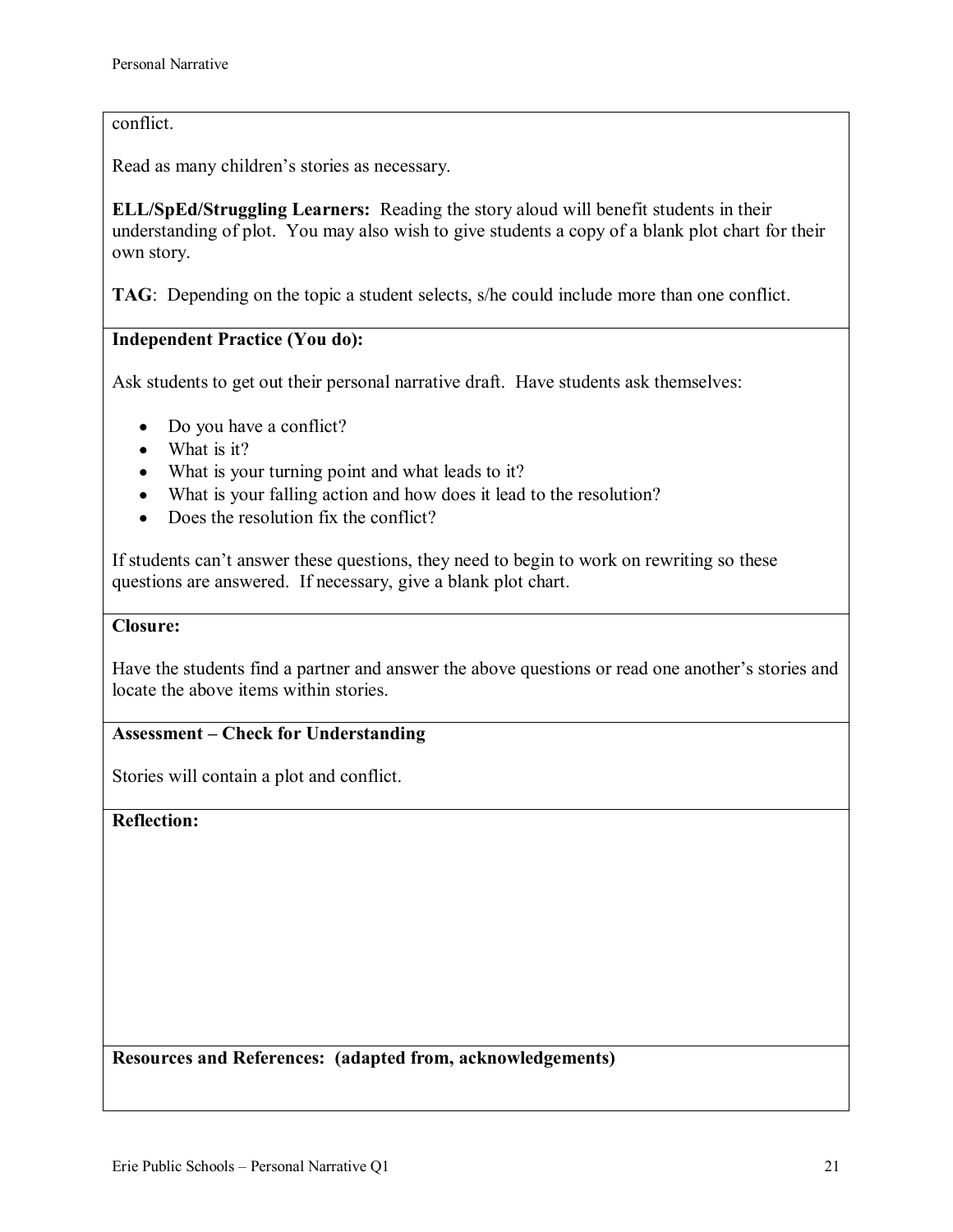## conflict.

Read as many children's stories as necessary.

**ELL/SpEd/Struggling Learners:** Reading the story aloud will benefit students in their understanding of plot. You may also wish to give students a copy of a blank plot chart for their own story.

**TAG**: Depending on the topic a student selects, s/he could include more than one conflict.

### **Independent Practice (You do):**

Ask students to get out their personal narrative draft. Have students ask themselves:

- Do you have a conflict?
- What is it?
- What is your turning point and what leads to it?
- What is your falling action and how does it lead to the resolution?
- Does the resolution fix the conflict?

If students can't answer these questions, they need to begin to work on rewriting so these questions are answered. If necessary, give a blank plot chart.

#### **Closure:**

Have the students find a partner and answer the above questions or read one another's stories and locate the above items within stories.

#### **Assessment – Check for Understanding**

Stories will contain a plot and conflict.

#### **Reflection:**

**Resources and References: (adapted from, acknowledgements)**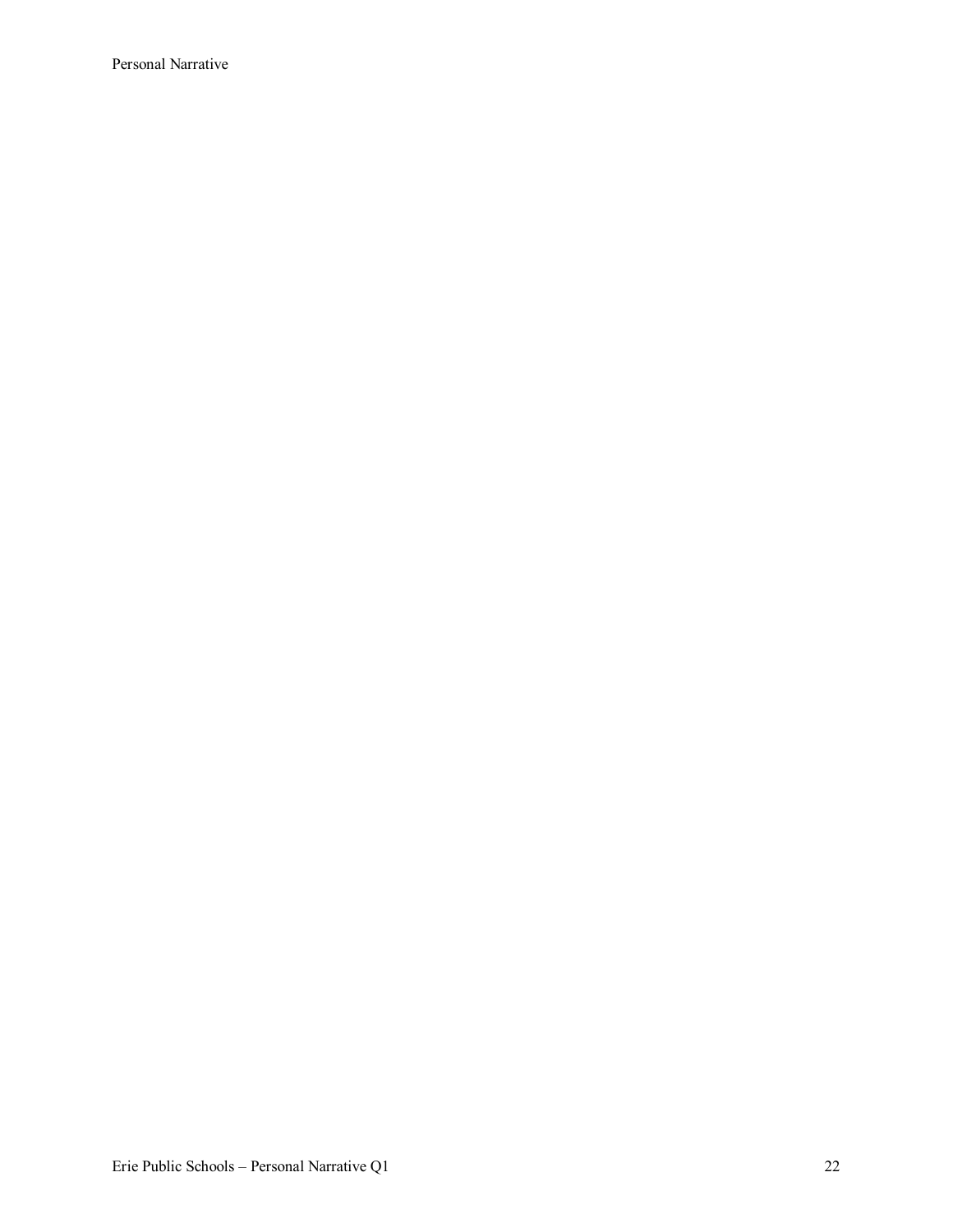Personal Narrative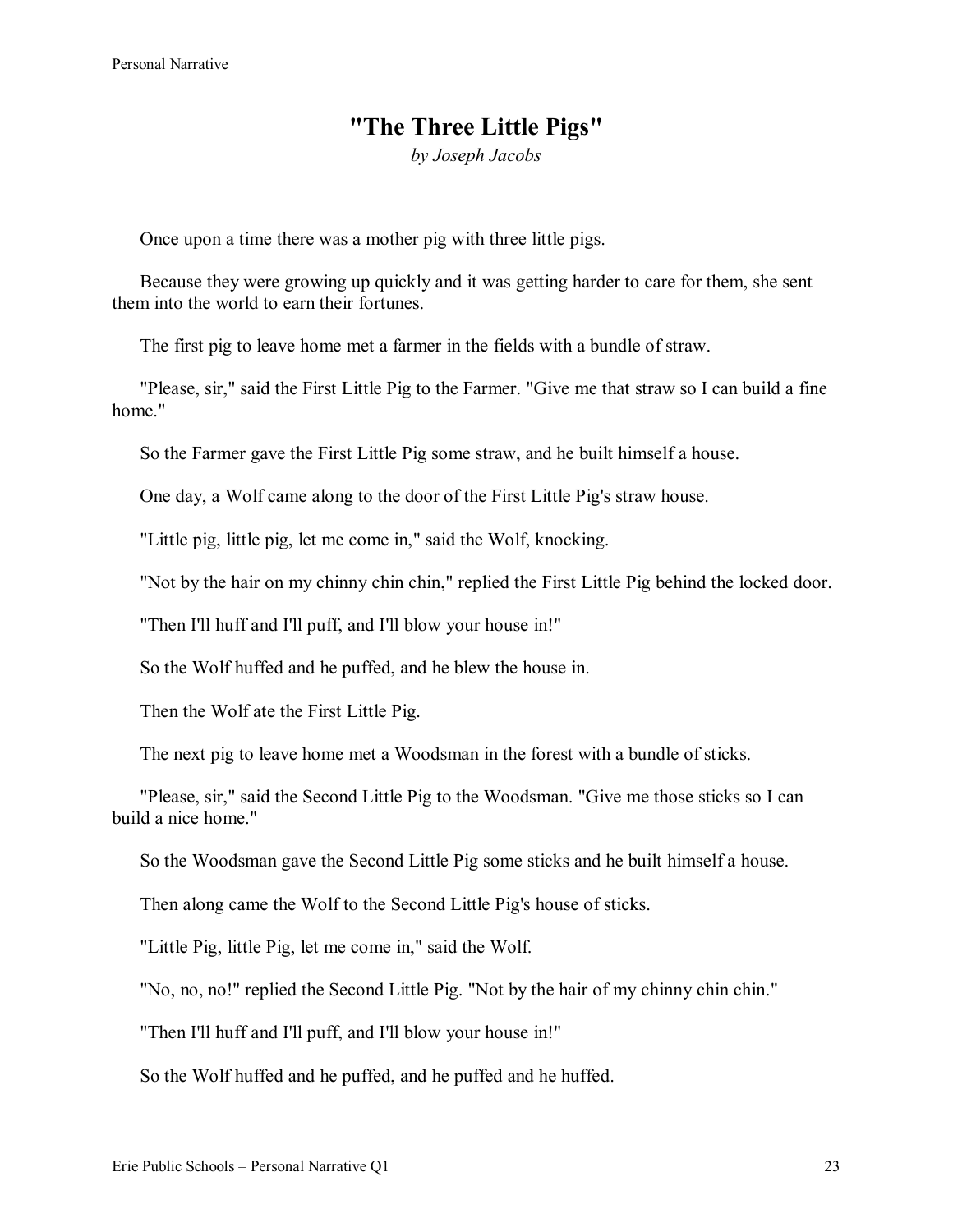## **"The Three Little Pigs"**

*by Joseph Jacobs* 

Once upon a time there was a mother pig with three little pigs.

Because they were growing up quickly and it was getting harder to care for them, she sent them into the world to earn their fortunes.

The first pig to leave home met a farmer in the fields with a bundle of straw.

"Please, sir," said the First Little Pig to the Farmer. "Give me that straw so I can build a fine home."

So the Farmer gave the First Little Pig some straw, and he built himself a house.

One day, a Wolf came along to the door of the First Little Pig's straw house.

"Little pig, little pig, let me come in," said the Wolf, knocking.

"Not by the hair on my chinny chin chin," replied the First Little Pig behind the locked door.

"Then I'll huff and I'll puff, and I'll blow your house in!"

So the Wolf huffed and he puffed, and he blew the house in.

Then the Wolf ate the First Little Pig.

The next pig to leave home met a Woodsman in the forest with a bundle of sticks.

"Please, sir," said the Second Little Pig to the Woodsman. "Give me those sticks so I can build a nice home."

So the Woodsman gave the Second Little Pig some sticks and he built himself a house.

Then along came the Wolf to the Second Little Pig's house of sticks.

"Little Pig, little Pig, let me come in," said the Wolf.

"No, no, no!" replied the Second Little Pig. "Not by the hair of my chinny chin chin."

"Then I'll huff and I'll puff, and I'll blow your house in!"

So the Wolf huffed and he puffed, and he puffed and he huffed.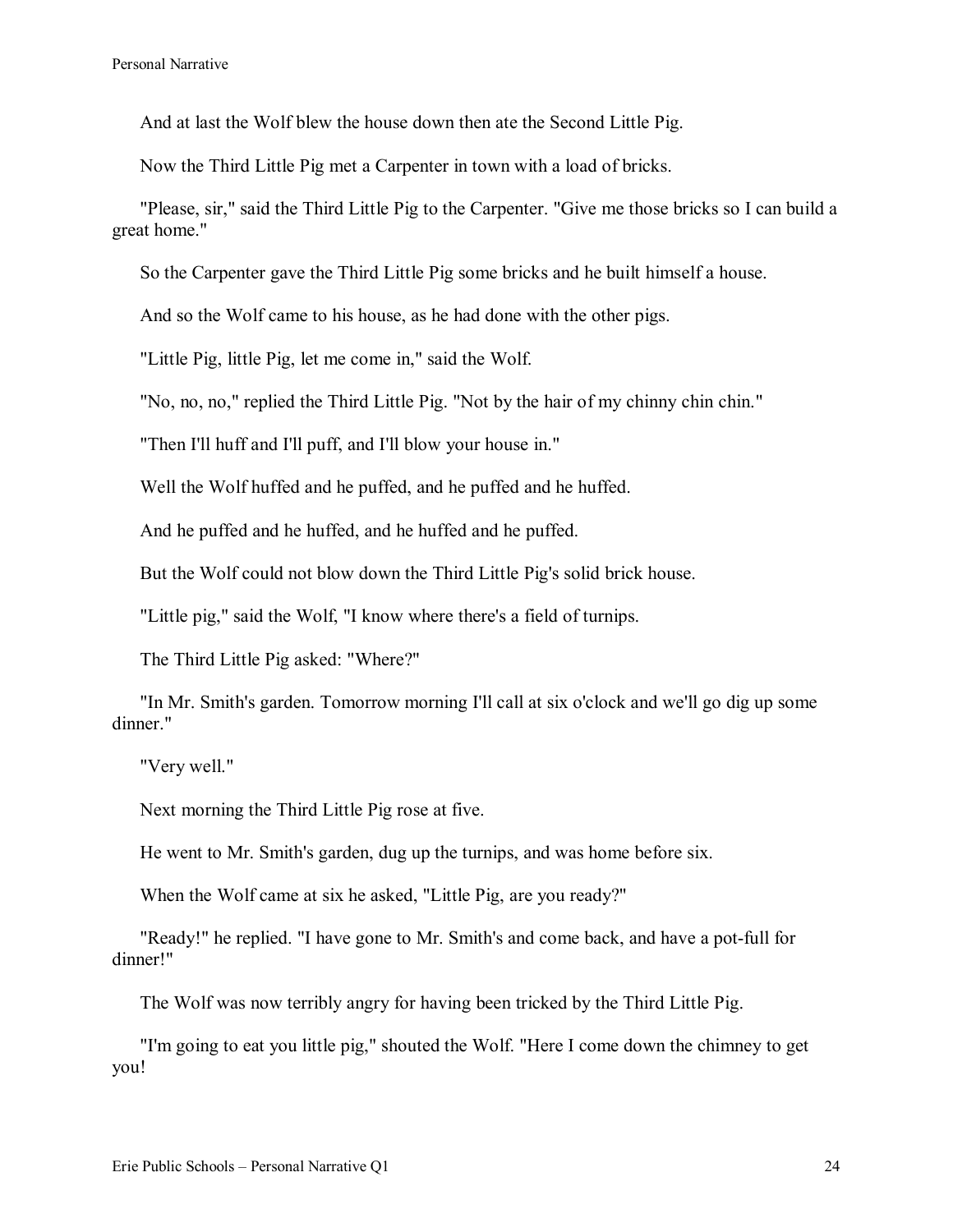And at last the Wolf blew the house down then ate the Second Little Pig.

Now the Third Little Pig met a Carpenter in town with a load of bricks.

"Please, sir," said the Third Little Pig to the Carpenter. "Give me those bricks so I can build a great home."

So the Carpenter gave the Third Little Pig some bricks and he built himself a house.

And so the Wolf came to his house, as he had done with the other pigs.

"Little Pig, little Pig, let me come in," said the Wolf.

"No, no, no," replied the Third Little Pig. "Not by the hair of my chinny chin chin."

"Then I'll huff and I'll puff, and I'll blow your house in."

Well the Wolf huffed and he puffed, and he puffed and he huffed.

And he puffed and he huffed, and he huffed and he puffed.

But the Wolf could not blow down the Third Little Pig's solid brick house.

"Little pig," said the Wolf, "I know where there's a field of turnips.

The Third Little Pig asked: "Where?"

"In Mr. Smith's garden. Tomorrow morning I'll call at six o'clock and we'll go dig up some dinner."

"Very well."

Next morning the Third Little Pig rose at five.

He went to Mr. Smith's garden, dug up the turnips, and was home before six.

When the Wolf came at six he asked, "Little Pig, are you ready?"

"Ready!" he replied. "I have gone to Mr. Smith's and come back, and have a pot-full for dinner!"

The Wolf was now terribly angry for having been tricked by the Third Little Pig.

"I'm going to eat you little pig," shouted the Wolf. "Here I come down the chimney to get you!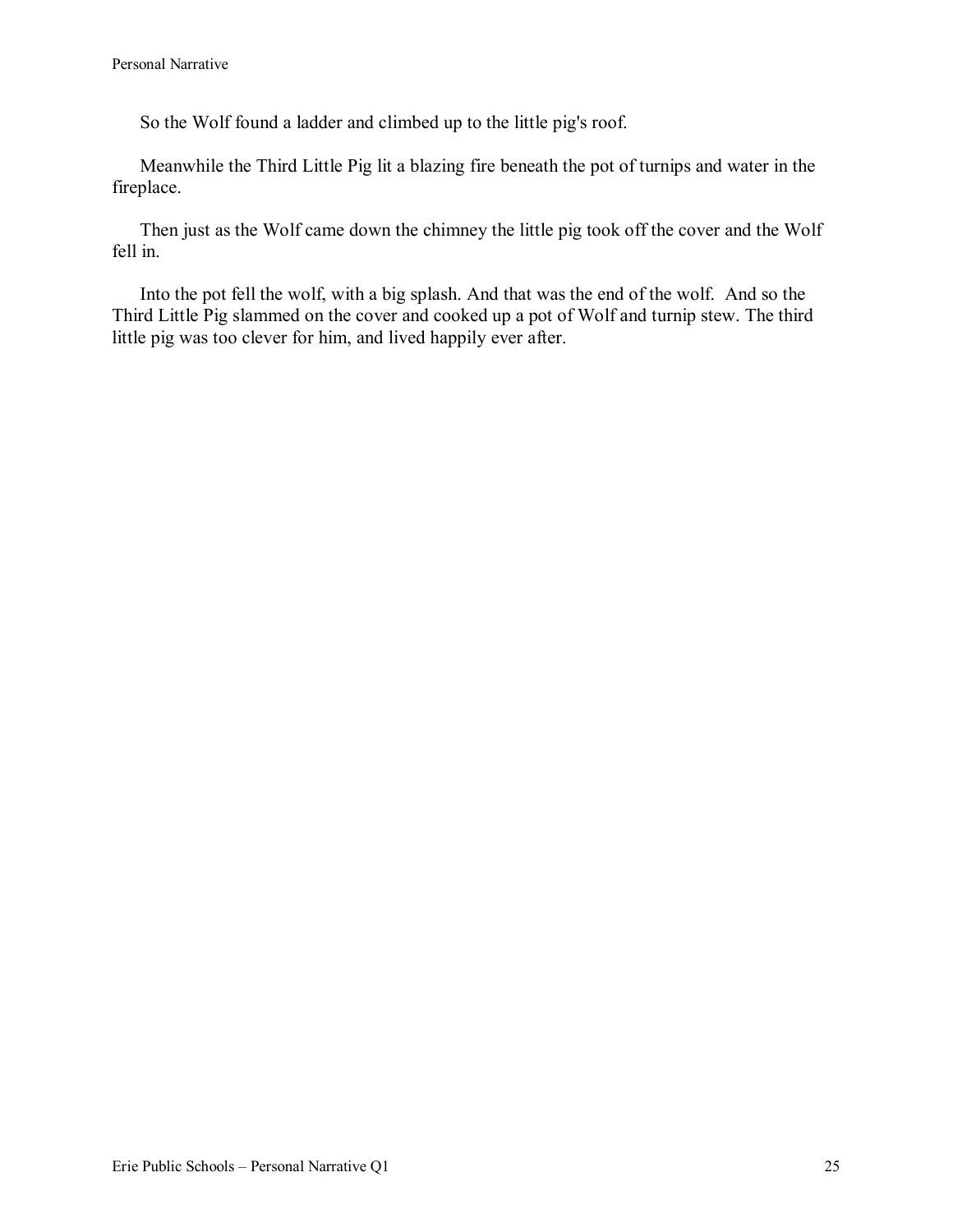So the Wolf found a ladder and climbed up to the little pig's roof.

Meanwhile the Third Little Pig lit a blazing fire beneath the pot of turnips and water in the fireplace.

Then just as the Wolf came down the chimney the little pig took off the cover and the Wolf fell in.

Into the pot fell the wolf, with a big splash. And that was the end of the wolf. And so the Third Little Pig slammed on the cover and cooked up a pot of Wolf and turnip stew. The third little pig was too clever for him, and lived happily ever after.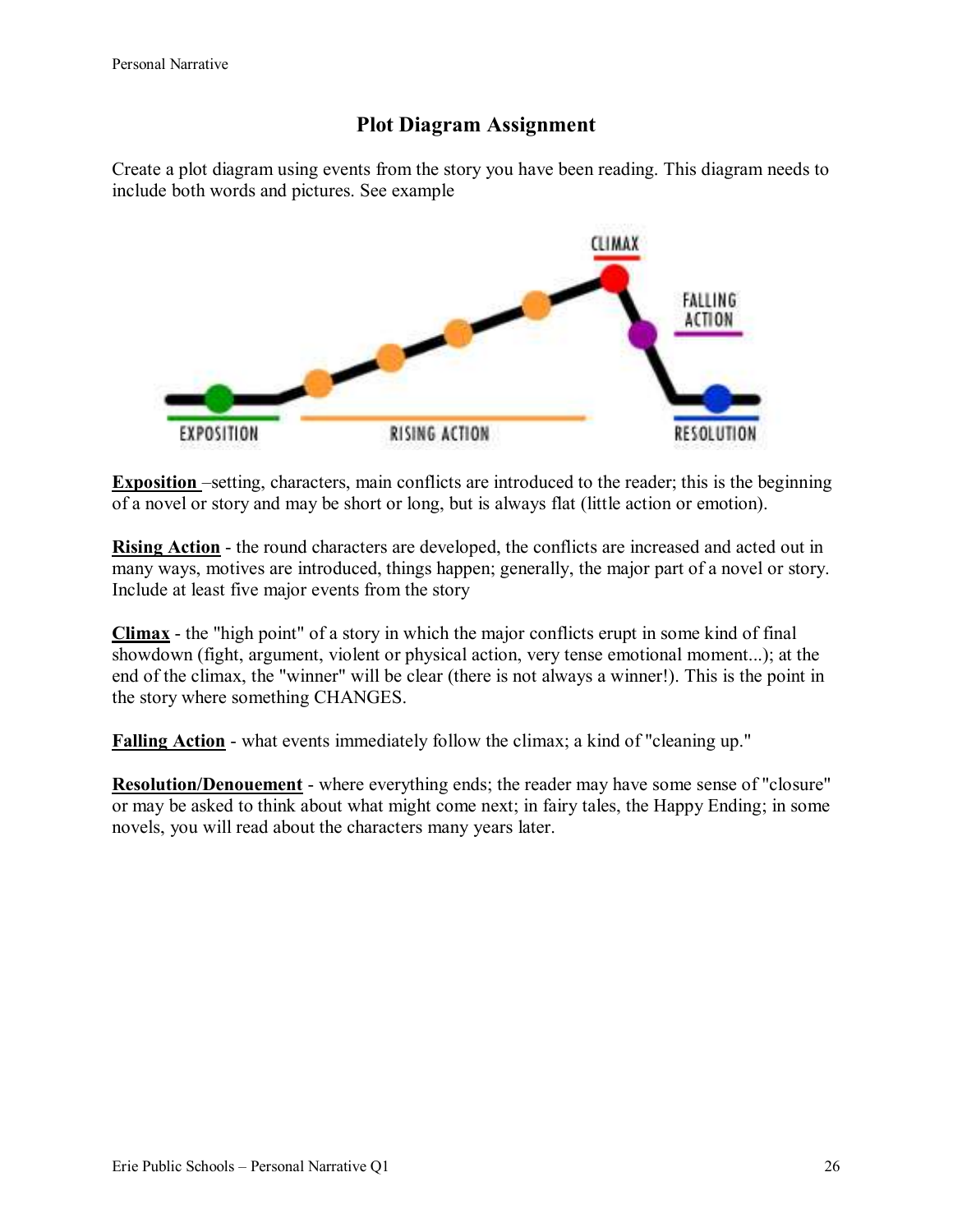## **Plot Diagram Assignment**

Create a plot diagram using events from the story you have been reading. This diagram needs to include both words and pictures. See example



**Exposition** –setting, characters, main conflicts are introduced to the reader; this is the beginning of a novel or story and may be short or long, but is always flat (little action or emotion).

**Rising Action** - the round characters are developed, the conflicts are increased and acted out in many ways, motives are introduced, things happen; generally, the major part of a novel or story. Include at least five major events from the story

**Climax** - the "high point" of a story in which the major conflicts erupt in some kind of final showdown (fight, argument, violent or physical action, very tense emotional moment...); at the end of the climax, the "winner" will be clear (there is not always a winner!). This is the point in the story where something CHANGES.

**Falling Action** - what events immediately follow the climax; a kind of "cleaning up."

**Resolution/Denouement** - where everything ends; the reader may have some sense of "closure" or may be asked to think about what might come next; in fairy tales, the Happy Ending; in some novels, you will read about the characters many years later.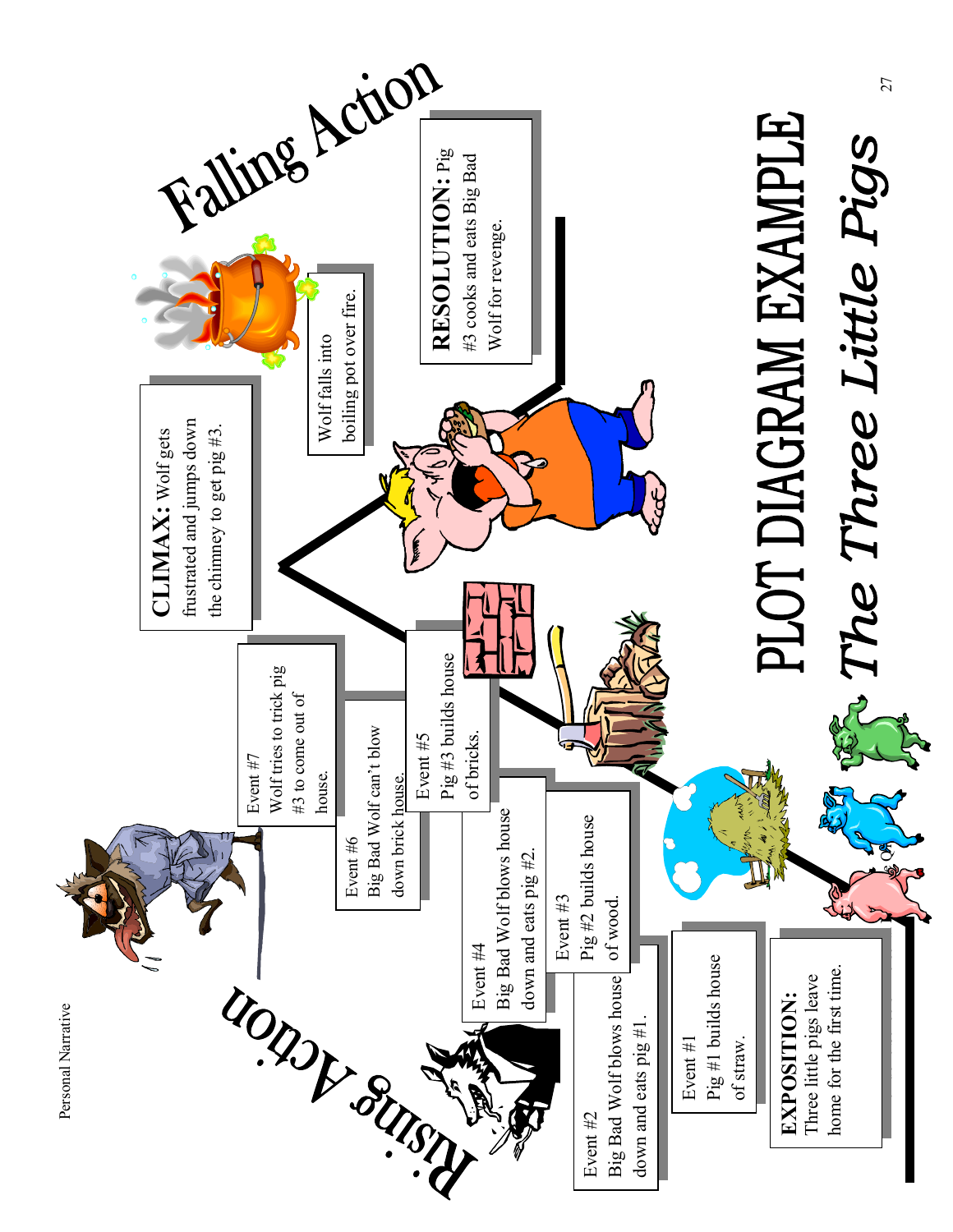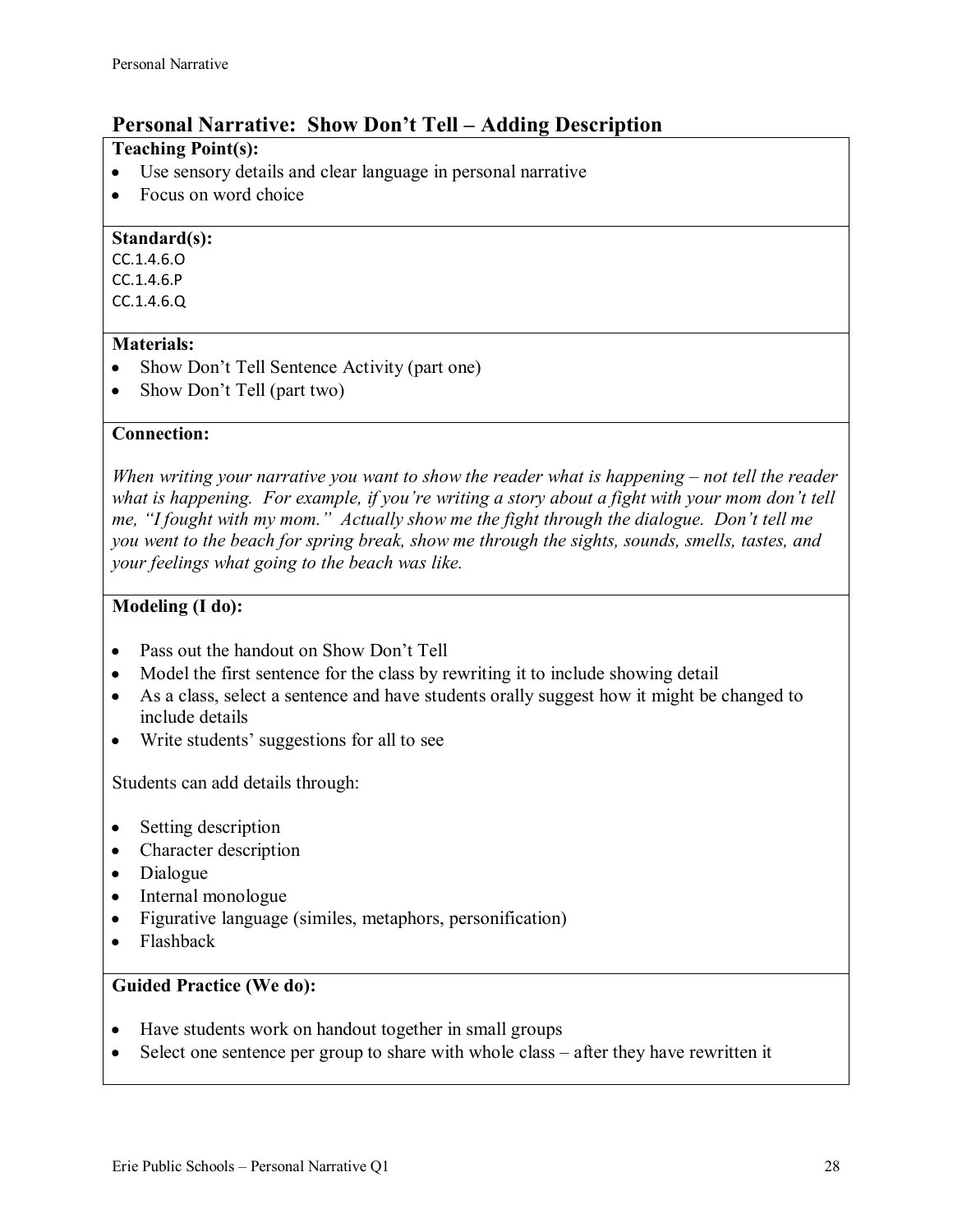## **Personal Narrative: Show Don't Tell – Adding Description**

#### **Teaching Point(s):**

- Use sensory details and clear language in personal narrative
- Focus on word choice

#### **Standard(s):**

CC.1.4.6.O CC.1.4.6.P CC.1.4.6.Q

## **Materials:**

- Show Don't Tell Sentence Activity (part one)
- Show Don't Tell (part two)

### **Connection:**

*When writing your narrative you want to show the reader what is happening – not tell the reader what is happening. For example, if you're writing a story about a fight with your mom don't tell me, "I fought with my mom." Actually show me the fight through the dialogue. Don't tell me you went to the beach for spring break, show me through the sights, sounds, smells, tastes, and your feelings what going to the beach was like.* 

### **Modeling (I do):**

- Pass out the handout on Show Don't Tell
- Model the first sentence for the class by rewriting it to include showing detail
- As a class, select a sentence and have students orally suggest how it might be changed to include details
- Write students' suggestions for all to see

Students can add details through:

- Setting description
- Character description
- Dialogue
- Internal monologue
- Figurative language (similes, metaphors, personification)
- Flashback

### **Guided Practice (We do):**

- Have students work on handout together in small groups
- Select one sentence per group to share with whole class after they have rewritten it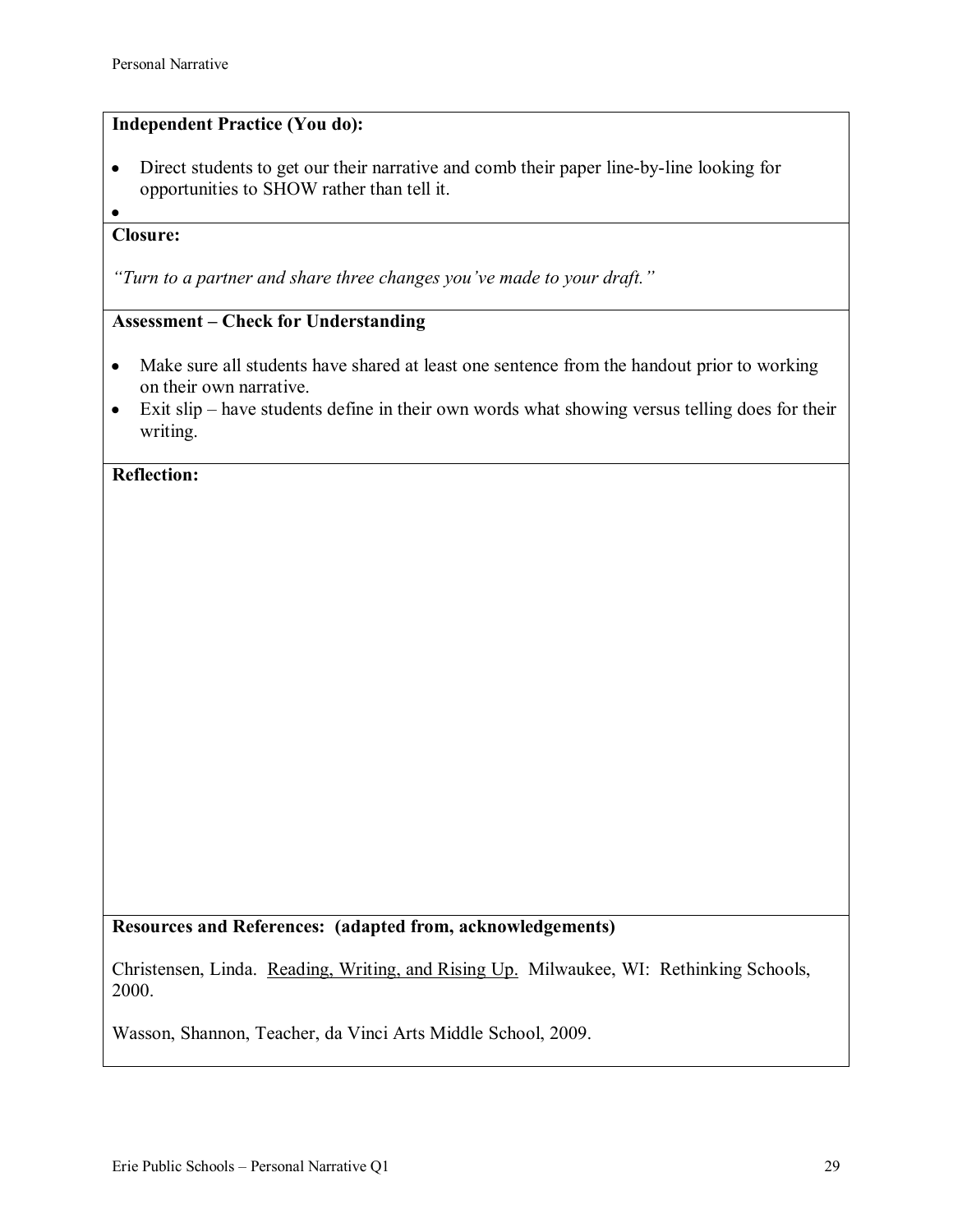## **Independent Practice (You do):**

 Direct students to get our their narrative and comb their paper line-by-line looking for opportunities to SHOW rather than tell it.

# $\bullet$

## **Closure:**

*"Turn to a partner and share three changes you've made to your draft."* 

#### **Assessment – Check for Understanding**

- Make sure all students have shared at least one sentence from the handout prior to working on their own narrative.
- Exit slip have students define in their own words what showing versus telling does for their writing.

#### **Reflection:**

## **Resources and References: (adapted from, acknowledgements)**

Christensen, Linda. Reading, Writing, and Rising Up. Milwaukee, WI: Rethinking Schools, 2000.

Wasson, Shannon, Teacher, da Vinci Arts Middle School, 2009.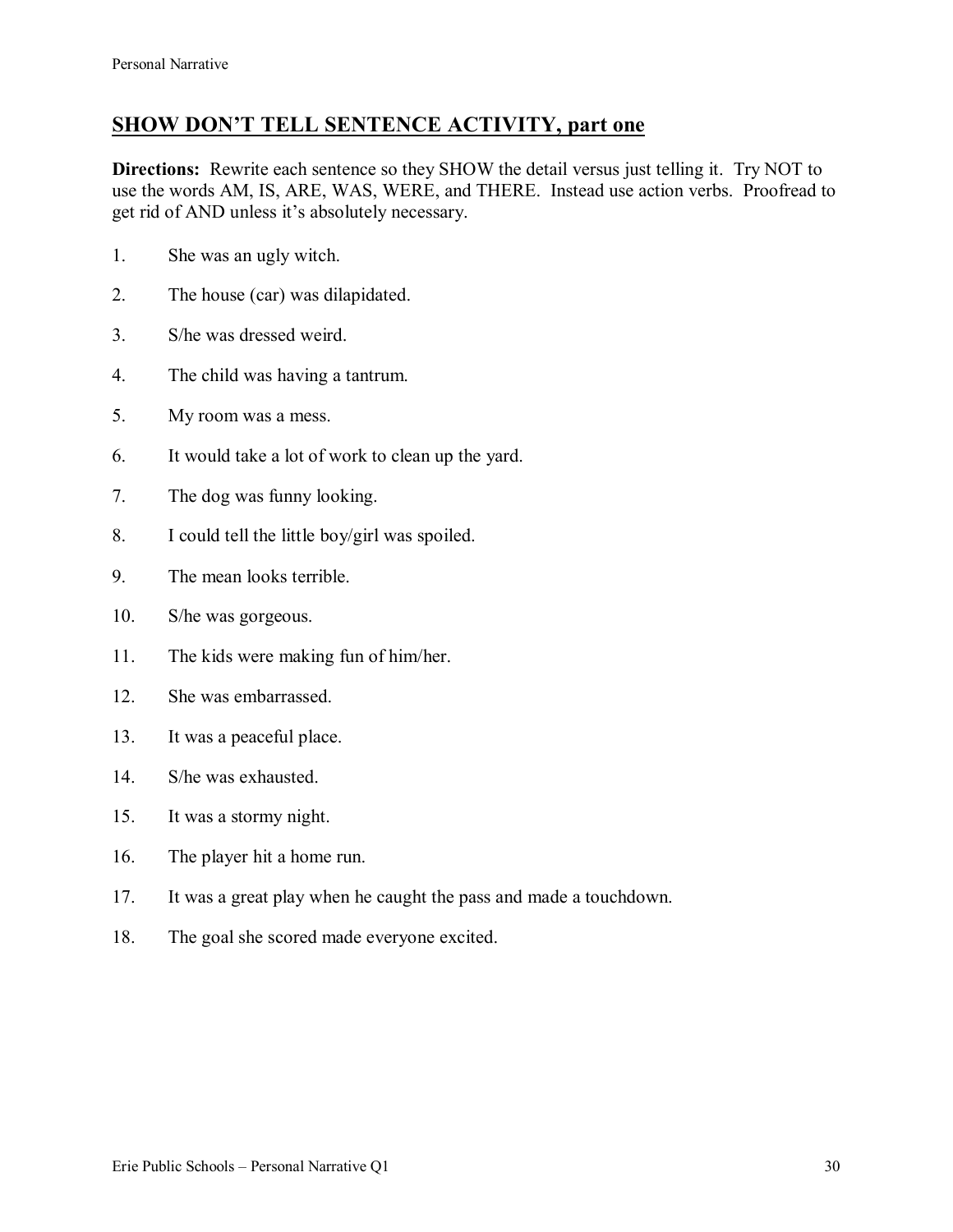## **SHOW DON'T TELL SENTENCE ACTIVITY, part one**

**Directions:** Rewrite each sentence so they SHOW the detail versus just telling it. Try NOT to use the words AM, IS, ARE, WAS, WERE, and THERE. Instead use action verbs. Proofread to get rid of AND unless it's absolutely necessary.

- 1. She was an ugly witch.
- 2. The house (car) was dilapidated.
- 3. S/he was dressed weird.
- 4. The child was having a tantrum.
- 5. My room was a mess.
- 6. It would take a lot of work to clean up the yard.
- 7. The dog was funny looking.
- 8. I could tell the little boy/girl was spoiled.
- 9. The mean looks terrible.
- 10. S/he was gorgeous.
- 11. The kids were making fun of him/her.
- 12. She was embarrassed.
- 13. It was a peaceful place.
- 14. S/he was exhausted.
- 15. It was a stormy night.
- 16. The player hit a home run.
- 17. It was a great play when he caught the pass and made a touchdown.
- 18. The goal she scored made everyone excited.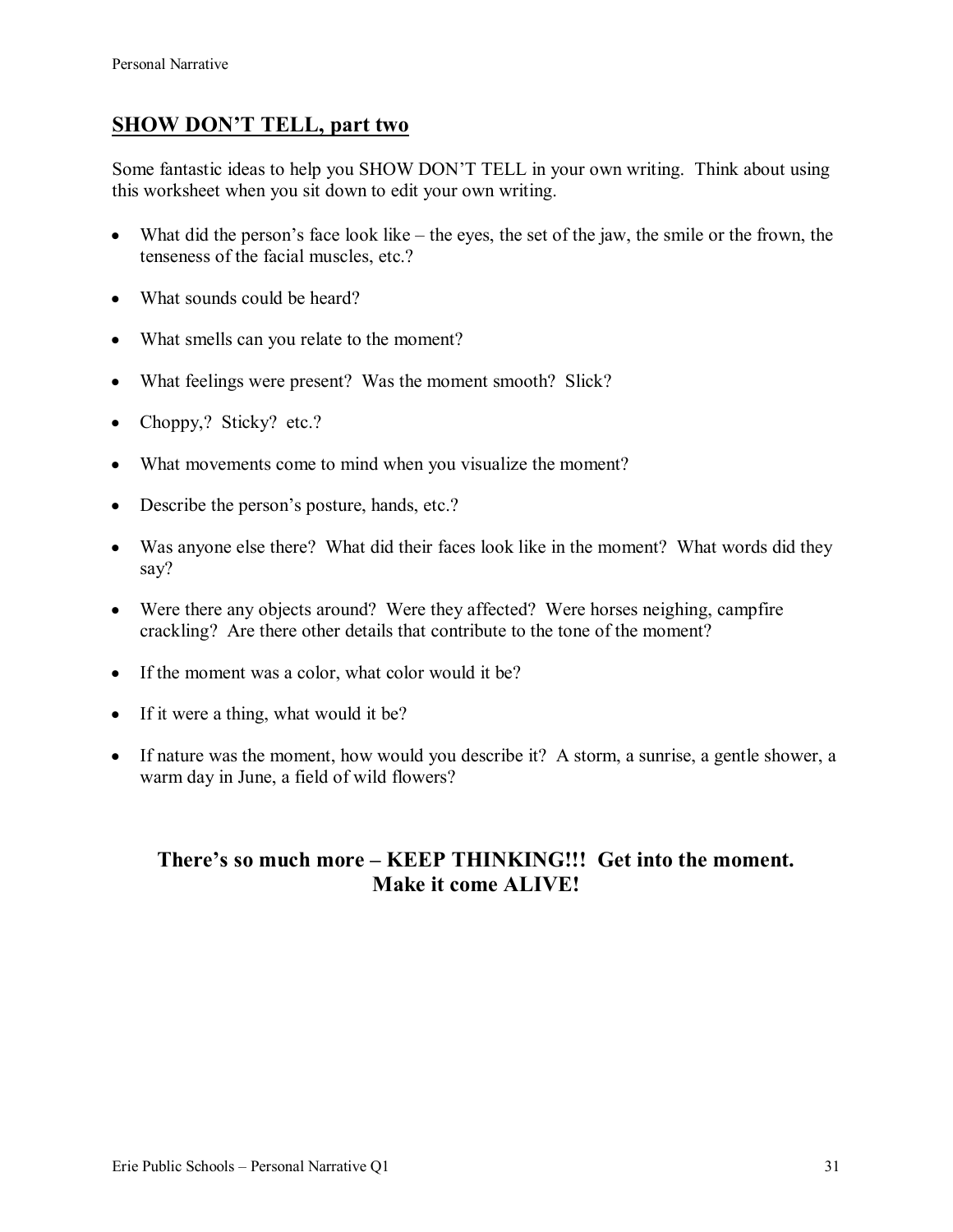## **SHOW DON'T TELL, part two**

Some fantastic ideas to help you SHOW DON'T TELL in your own writing. Think about using this worksheet when you sit down to edit your own writing.

- What did the person's face look like the eyes, the set of the jaw, the smile or the frown, the tenseness of the facial muscles, etc.?
- What sounds could be heard?
- What smells can you relate to the moment?
- What feelings were present? Was the moment smooth? Slick?
- Choppy,? Sticky? etc.?
- What movements come to mind when you visualize the moment?
- Describe the person's posture, hands, etc.?
- Was anyone else there? What did their faces look like in the moment? What words did they say?
- Were there any objects around? Were they affected? Were horses neighing, campfire crackling? Are there other details that contribute to the tone of the moment?
- If the moment was a color, what color would it be?
- If it were a thing, what would it be?
- If nature was the moment, how would you describe it? A storm, a sunrise, a gentle shower, a warm day in June, a field of wild flowers?

## **There's so much more – KEEP THINKING!!! Get into the moment. Make it come ALIVE!**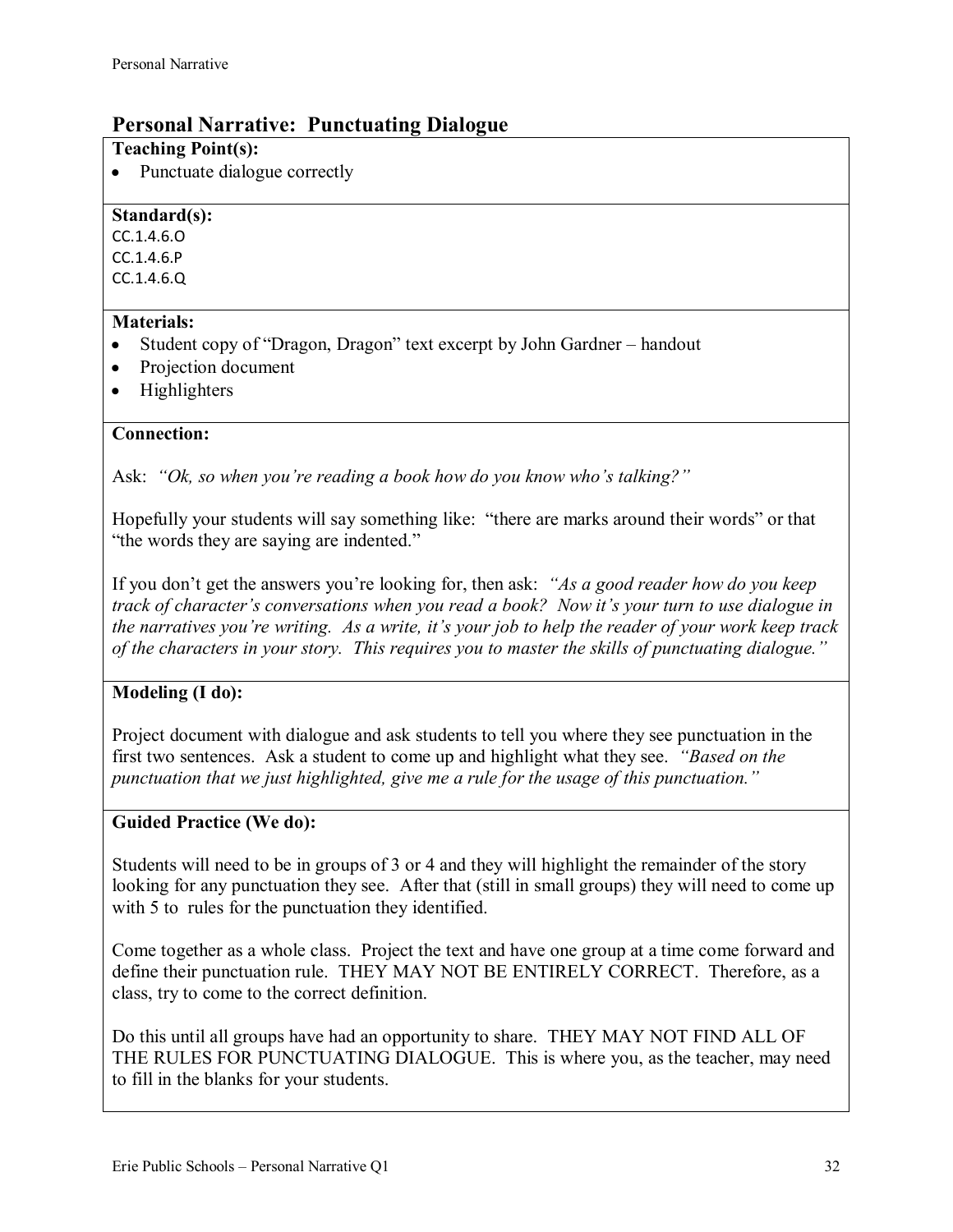## **Personal Narrative: Punctuating Dialogue**

#### **Teaching Point(s):**

• Punctuate dialogue correctly

### **Standard(s):**

CC.1.4.6.O CC.1.4.6.P CC.1.4.6.Q

### **Materials:**

- Student copy of "Dragon, Dragon" text excerpt by John Gardner handout
- Projection document
- Highlighters

### **Connection:**

Ask: *"Ok, so when you're reading a book how do you know who's talking?"* 

Hopefully your students will say something like: "there are marks around their words" or that "the words they are saying are indented."

If you don't get the answers you're looking for, then ask: *"As a good reader how do you keep track of character's conversations when you read a book? Now it's your turn to use dialogue in the narratives you're writing. As a write, it's your job to help the reader of your work keep track of the characters in your story. This requires you to master the skills of punctuating dialogue."* 

## **Modeling (I do):**

Project document with dialogue and ask students to tell you where they see punctuation in the first two sentences. Ask a student to come up and highlight what they see. *"Based on the punctuation that we just highlighted, give me a rule for the usage of this punctuation."* 

### **Guided Practice (We do):**

Students will need to be in groups of 3 or 4 and they will highlight the remainder of the story looking for any punctuation they see. After that (still in small groups) they will need to come up with 5 to rules for the punctuation they identified.

Come together as a whole class. Project the text and have one group at a time come forward and define their punctuation rule. THEY MAY NOT BE ENTIRELY CORRECT. Therefore, as a class, try to come to the correct definition.

Do this until all groups have had an opportunity to share. THEY MAY NOT FIND ALL OF THE RULES FOR PUNCTUATING DIALOGUE. This is where you, as the teacher, may need to fill in the blanks for your students.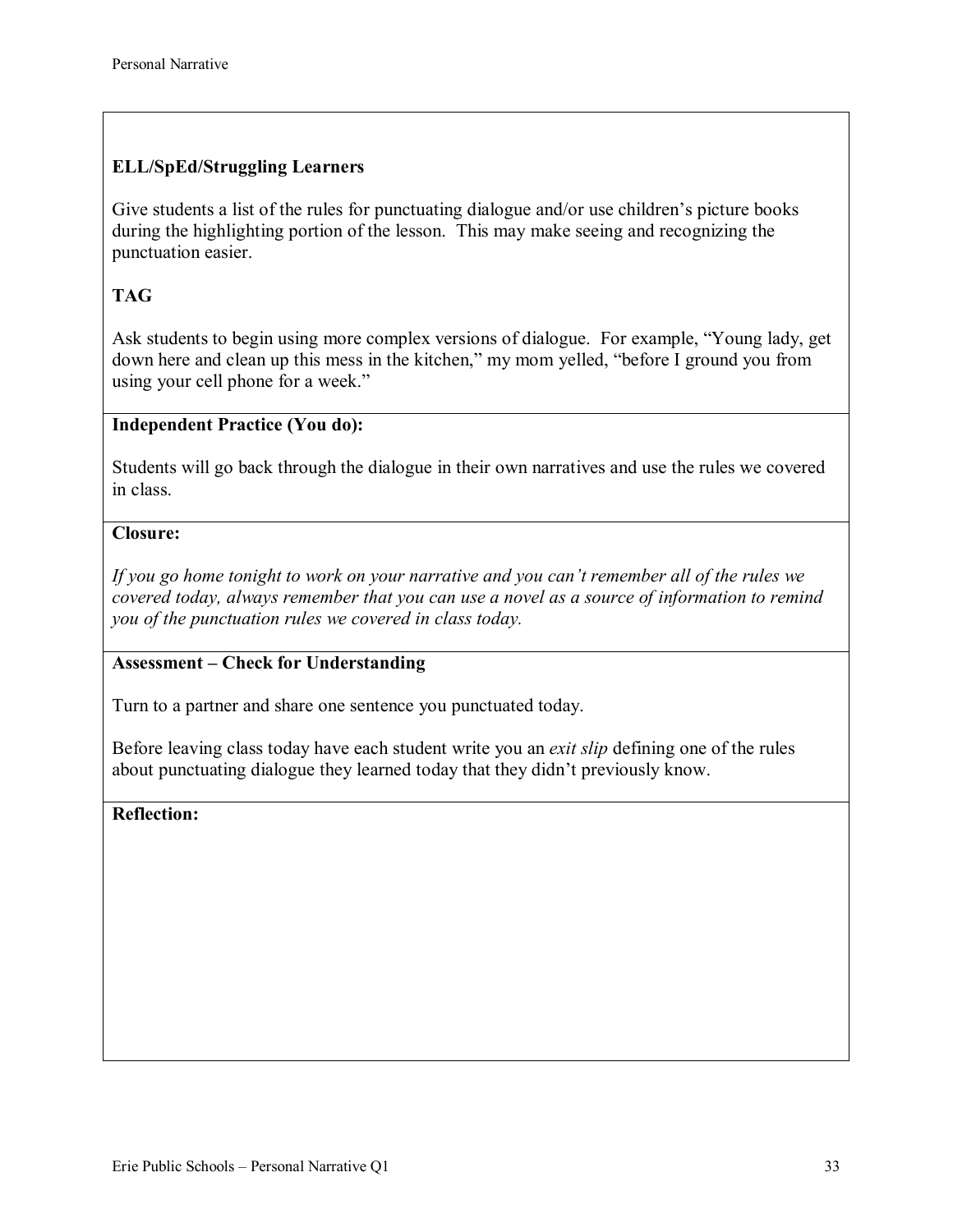## **ELL/SpEd/Struggling Learners**

Give students a list of the rules for punctuating dialogue and/or use children's picture books during the highlighting portion of the lesson. This may make seeing and recognizing the punctuation easier.

## **TAG**

Ask students to begin using more complex versions of dialogue. For example, "Young lady, get down here and clean up this mess in the kitchen," my mom yelled, "before I ground you from using your cell phone for a week."

### **Independent Practice (You do):**

Students will go back through the dialogue in their own narratives and use the rules we covered in class.

#### **Closure:**

*If you go home tonight to work on your narrative and you can't remember all of the rules we covered today, always remember that you can use a novel as a source of information to remind you of the punctuation rules we covered in class today.* 

### **Assessment – Check for Understanding**

Turn to a partner and share one sentence you punctuated today.

Before leaving class today have each student write you an *exit slip* defining one of the rules about punctuating dialogue they learned today that they didn't previously know.

### **Reflection:**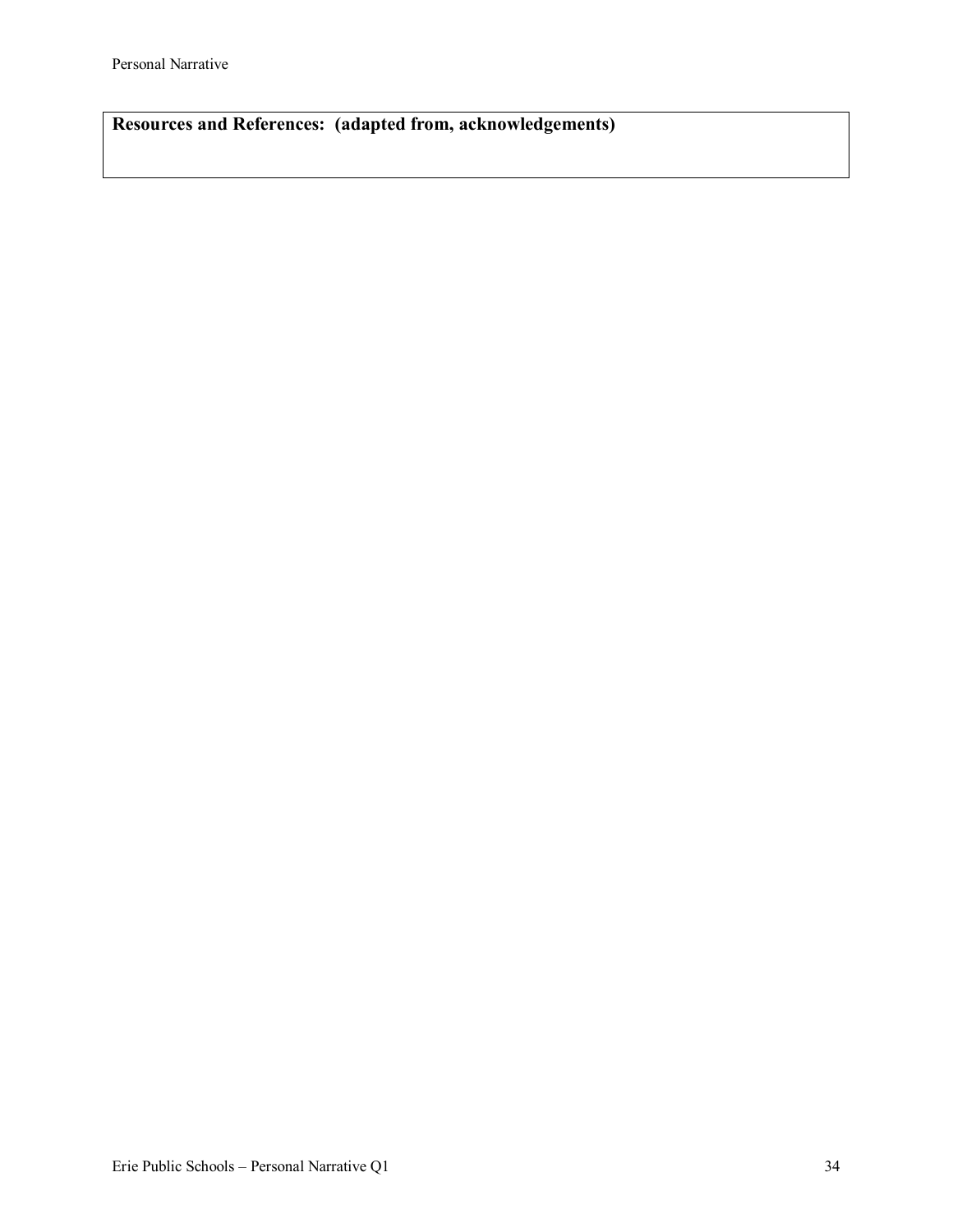**Resources and References: (adapted from, acknowledgements)**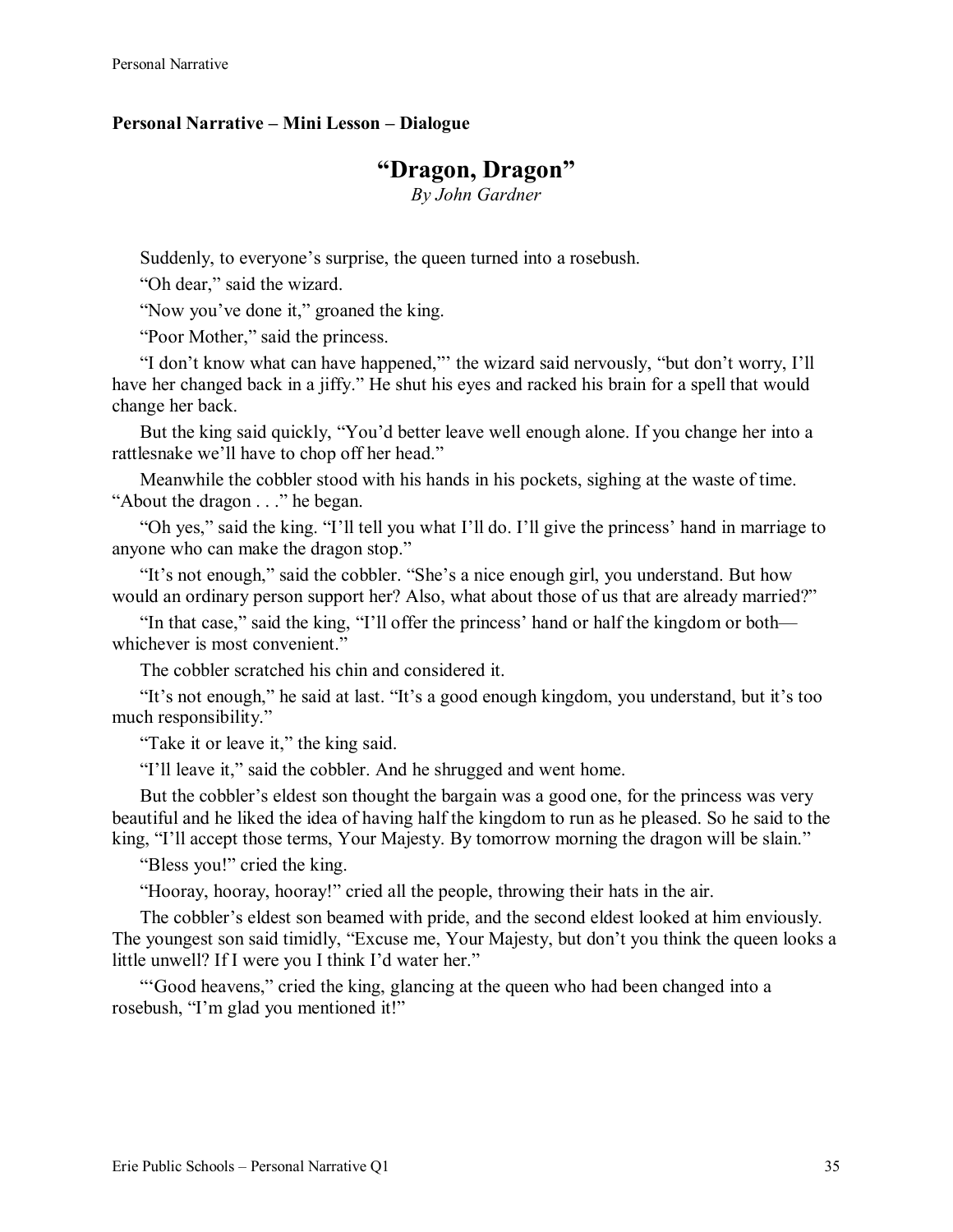### **Personal Narrative – Mini Lesson – Dialogue**

## **"Dragon, Dragon"**

*By John Gardner* 

Suddenly, to everyone's surprise, the queen turned into a rosebush.

"Oh dear," said the wizard.

"Now you've done it," groaned the king.

"Poor Mother," said the princess.

"I don't know what can have happened,"' the wizard said nervously, "but don't worry, I'll have her changed back in a jiffy." He shut his eyes and racked his brain for a spell that would change her back.

But the king said quickly, "You'd better leave well enough alone. If you change her into a rattlesnake we'll have to chop off her head."

Meanwhile the cobbler stood with his hands in his pockets, sighing at the waste of time. "About the dragon . . ." he began.

"Oh yes," said the king. "I'll tell you what I'll do. I'll give the princess' hand in marriage to anyone who can make the dragon stop."

"It's not enough," said the cobbler. "She's a nice enough girl, you understand. But how would an ordinary person support her? Also, what about those of us that are already married?"

"In that case," said the king, "I'll offer the princess' hand or half the kingdom or both whichever is most convenient."

The cobbler scratched his chin and considered it.

"It's not enough," he said at last. "It's a good enough kingdom, you understand, but it's too much responsibility."

"Take it or leave it," the king said.

"I'll leave it," said the cobbler. And he shrugged and went home.

But the cobbler's eldest son thought the bargain was a good one, for the princess was very beautiful and he liked the idea of having half the kingdom to run as he pleased. So he said to the king, "I'll accept those terms, Your Majesty. By tomorrow morning the dragon will be slain."

"Bless you!" cried the king.

"Hooray, hooray, hooray!" cried all the people, throwing their hats in the air.

The cobbler's eldest son beamed with pride, and the second eldest looked at him enviously. The youngest son said timidly, "Excuse me, Your Majesty, but don't you think the queen looks a little unwell? If I were you I think I'd water her."

"'Good heavens," cried the king, glancing at the queen who had been changed into a rosebush, "I'm glad you mentioned it!"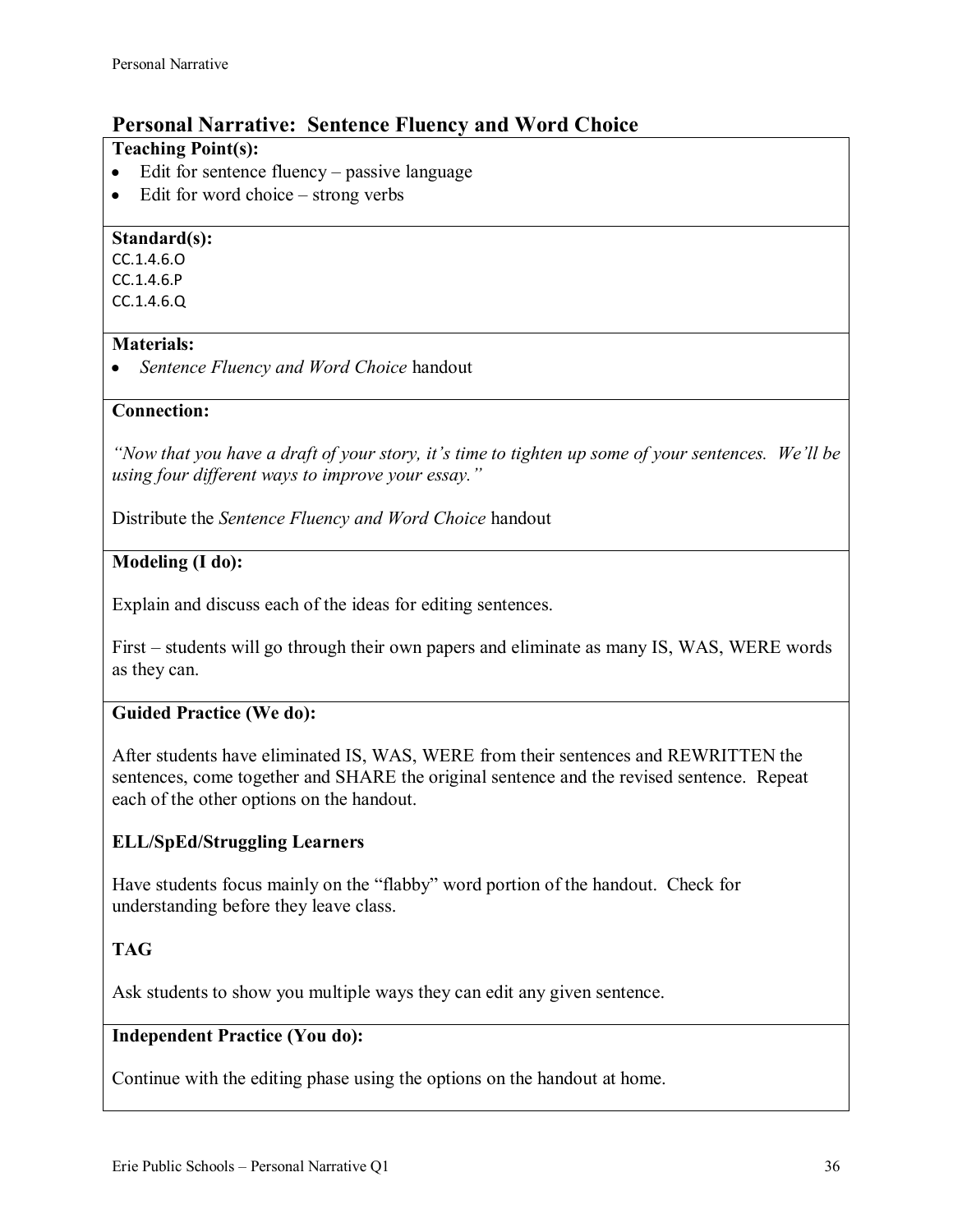## **Personal Narrative: Sentence Fluency and Word Choice**

#### **Teaching Point(s):**

- Edit for sentence fluency passive language
- $\bullet$  Edit for word choice strong verbs

#### **Standard(s):**

CC.1.4.6.O CC.1.4.6.P

CC.1.4.6.Q

### **Materials:**

*Sentence Fluency and Word Choice* handout

#### **Connection:**

*"Now that you have a draft of your story, it's time to tighten up some of your sentences. We'll be using four different ways to improve your essay."* 

Distribute the *Sentence Fluency and Word Choice* handout

### **Modeling (I do):**

Explain and discuss each of the ideas for editing sentences.

First – students will go through their own papers and eliminate as many IS, WAS, WERE words as they can.

### **Guided Practice (We do):**

After students have eliminated IS, WAS, WERE from their sentences and REWRITTEN the sentences, come together and SHARE the original sentence and the revised sentence. Repeat each of the other options on the handout.

### **ELL/SpEd/Struggling Learners**

Have students focus mainly on the "flabby" word portion of the handout. Check for understanding before they leave class.

## **TAG**

Ask students to show you multiple ways they can edit any given sentence.

### **Independent Practice (You do):**

Continue with the editing phase using the options on the handout at home.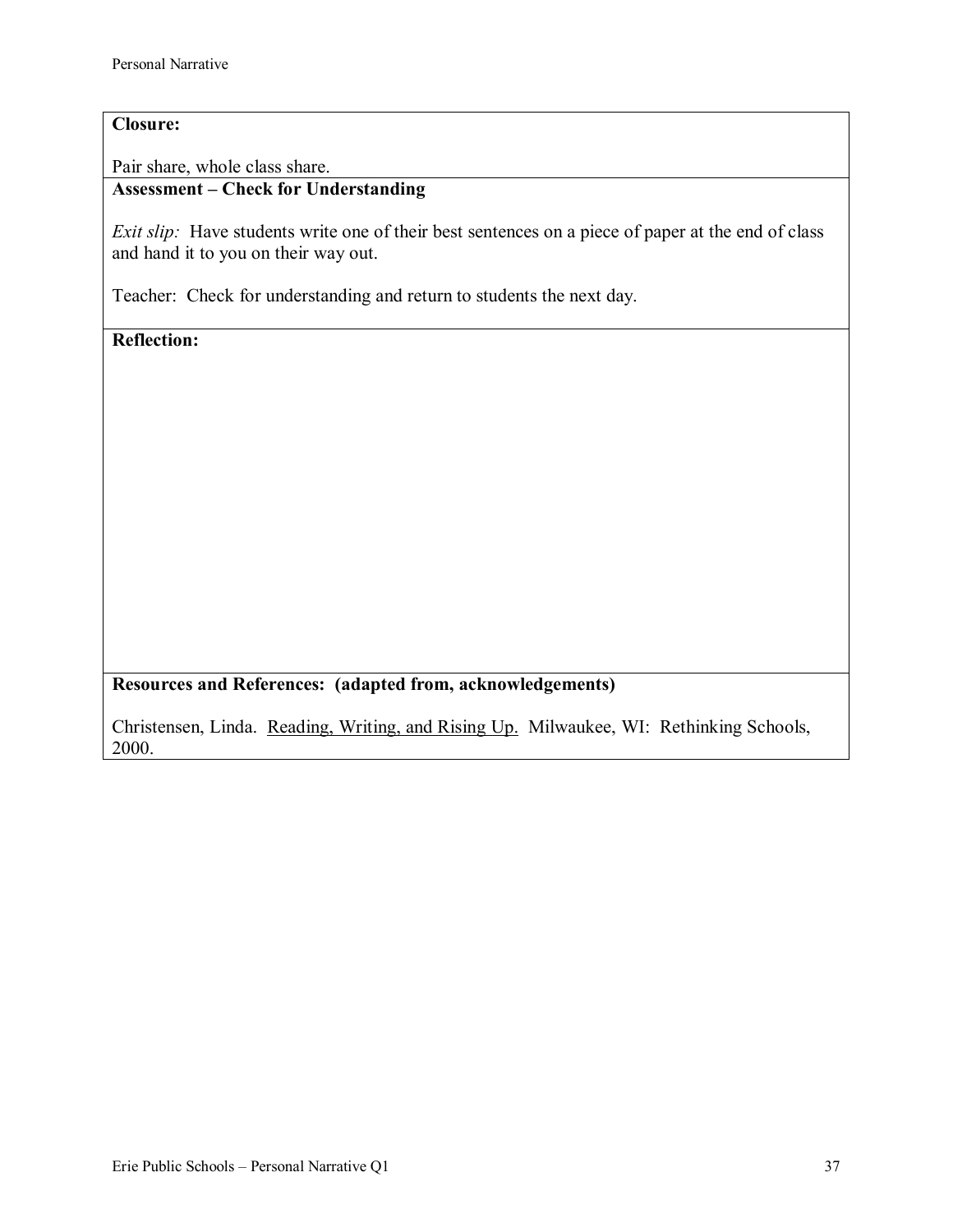## **Closure:**

Pair share, whole class share.

## **Assessment – Check for Understanding**

*Exit slip:* Have students write one of their best sentences on a piece of paper at the end of class and hand it to you on their way out.

Teacher: Check for understanding and return to students the next day.

### **Reflection:**

### **Resources and References: (adapted from, acknowledgements)**

Christensen, Linda. Reading, Writing, and Rising Up. Milwaukee, WI: Rethinking Schools, 2000.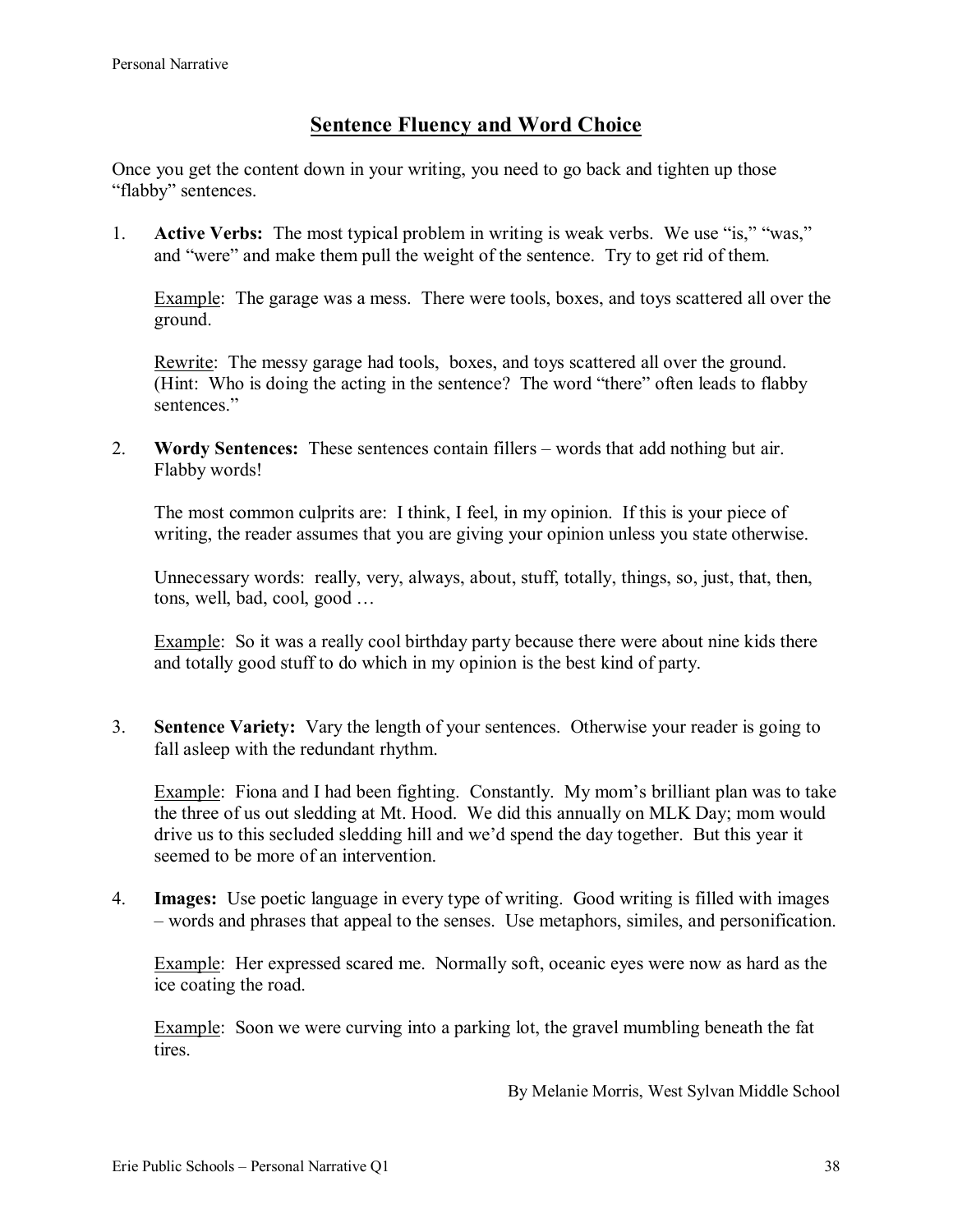## **Sentence Fluency and Word Choice**

Once you get the content down in your writing, you need to go back and tighten up those "flabby" sentences.

1. **Active Verbs:** The most typical problem in writing is weak verbs. We use "is," "was," and "were" and make them pull the weight of the sentence. Try to get rid of them.

Example: The garage was a mess. There were tools, boxes, and toys scattered all over the ground.

Rewrite: The messy garage had tools, boxes, and toys scattered all over the ground. (Hint: Who is doing the acting in the sentence? The word "there" often leads to flabby sentences."

2. **Wordy Sentences:** These sentences contain fillers – words that add nothing but air. Flabby words!

The most common culprits are: I think, I feel, in my opinion. If this is your piece of writing, the reader assumes that you are giving your opinion unless you state otherwise.

Unnecessary words: really, very, always, about, stuff, totally, things, so, just, that, then, tons, well, bad, cool, good …

Example: So it was a really cool birthday party because there were about nine kids there and totally good stuff to do which in my opinion is the best kind of party.

3. **Sentence Variety:** Vary the length of your sentences. Otherwise your reader is going to fall asleep with the redundant rhythm.

Example: Fiona and I had been fighting. Constantly. My mom's brilliant plan was to take the three of us out sledding at Mt. Hood. We did this annually on MLK Day; mom would drive us to this secluded sledding hill and we'd spend the day together. But this year it seemed to be more of an intervention.

4. **Images:** Use poetic language in every type of writing. Good writing is filled with images – words and phrases that appeal to the senses. Use metaphors, similes, and personification.

Example: Her expressed scared me. Normally soft, oceanic eyes were now as hard as the ice coating the road.

Example: Soon we were curving into a parking lot, the gravel mumbling beneath the fat tires.

By Melanie Morris, West Sylvan Middle School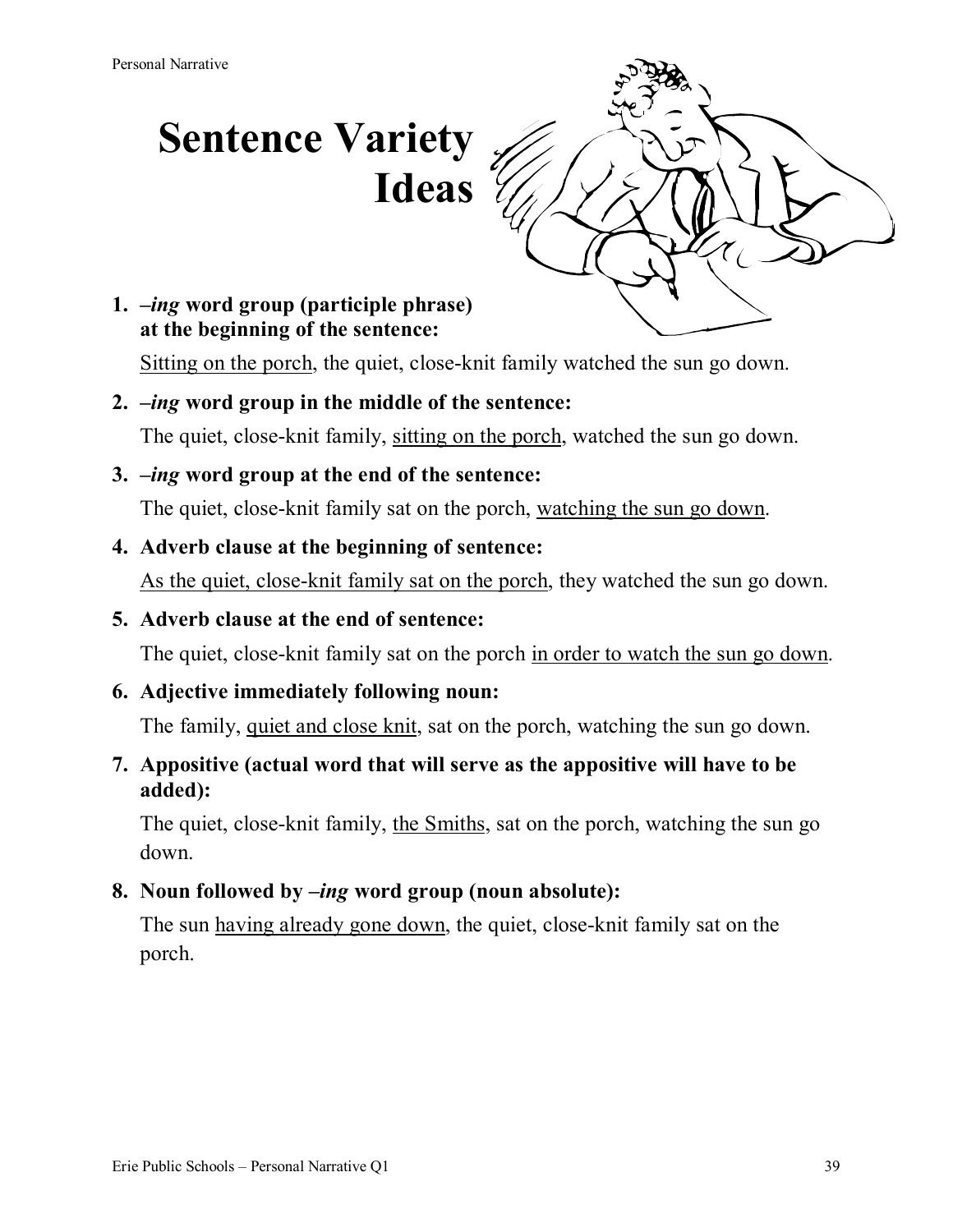

Sitting on the porch, the quiet, close-knit family watched the sun go down.

**2.** *–ing* **word group in the middle of the sentence:** 

The quiet, close-knit family, sitting on the porch, watched the sun go down.

**3.** *–ing* **word group at the end of the sentence:** 

The quiet, close-knit family sat on the porch, watching the sun go down.

**4. Adverb clause at the beginning of sentence:** 

As the quiet, close-knit family sat on the porch, they watched the sun go down.

**5. Adverb clause at the end of sentence:** 

The quiet, close-knit family sat on the porch in order to watch the sun go down.

**6. Adjective immediately following noun:** 

The family, quiet and close knit, sat on the porch, watching the sun go down.

**7. Appositive (actual word that will serve as the appositive will have to be added):** 

The quiet, close-knit family, the Smiths, sat on the porch, watching the sun go down.

**8. Noun followed by** *–ing* **word group (noun absolute):** 

The sun having already gone down, the quiet, close-knit family sat on the porch.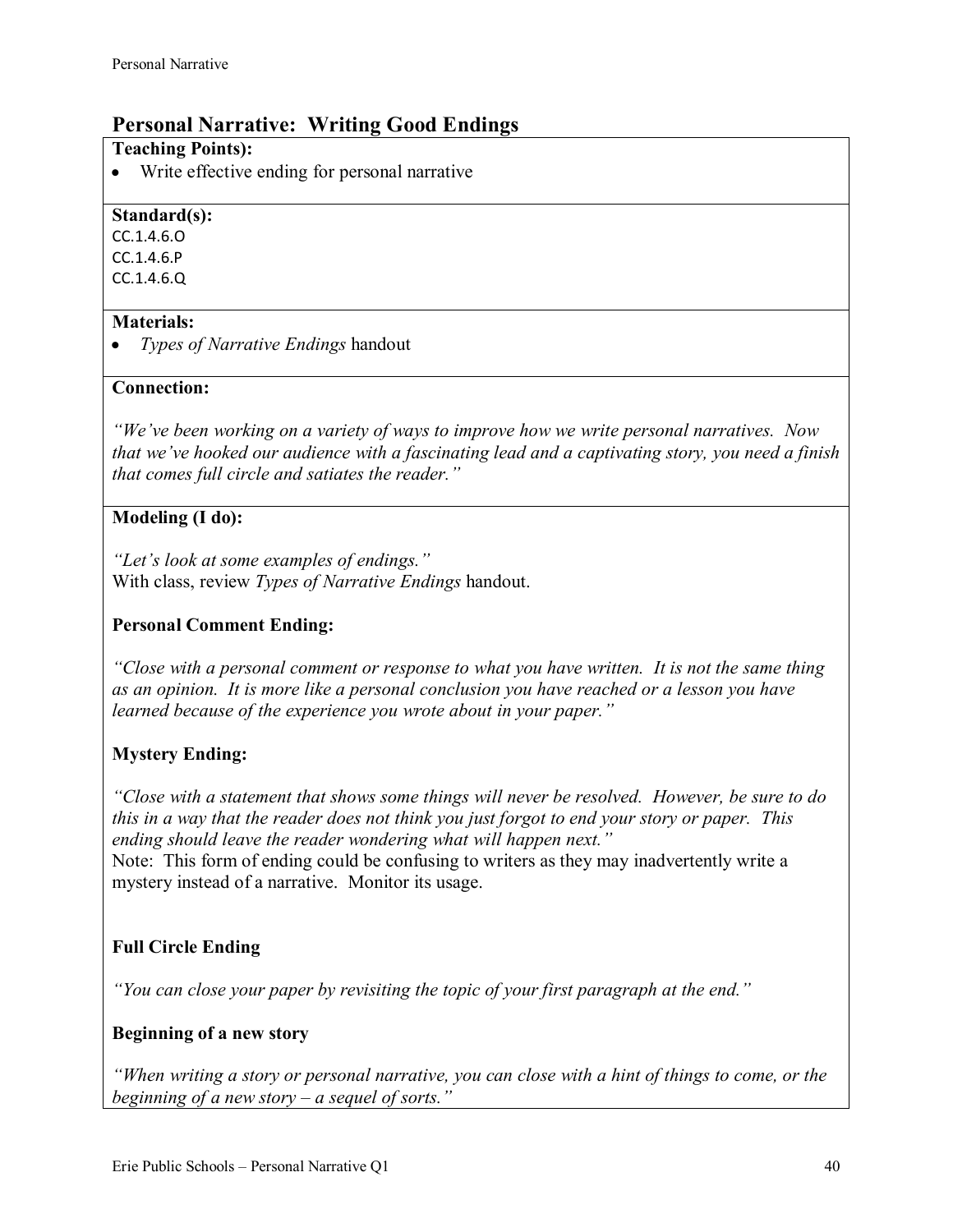## **Personal Narrative: Writing Good Endings**

### **Teaching Points):**

Write effective ending for personal narrative

## **Standard(s):**

CC.1.4.6.O CC.1.4.6.P CC.1.4.6.Q

### **Materials:**

*Types of Narrative Endings* handout

### **Connection:**

*"We've been working on a variety of ways to improve how we write personal narratives. Now that we've hooked our audience with a fascinating lead and a captivating story, you need a finish that comes full circle and satiates the reader."* 

## **Modeling (I do):**

*"Let's look at some examples of endings."*  With class, review *Types of Narrative Endings* handout.

## **Personal Comment Ending:**

*"Close with a personal comment or response to what you have written. It is not the same thing as an opinion. It is more like a personal conclusion you have reached or a lesson you have learned because of the experience you wrote about in your paper."* 

## **Mystery Ending:**

*"Close with a statement that shows some things will never be resolved. However, be sure to do this in a way that the reader does not think you just forgot to end your story or paper. This ending should leave the reader wondering what will happen next."* 

Note: This form of ending could be confusing to writers as they may inadvertently write a mystery instead of a narrative. Monitor its usage.

## **Full Circle Ending**

*"You can close your paper by revisiting the topic of your first paragraph at the end."* 

### **Beginning of a new story**

*"When writing a story or personal narrative, you can close with a hint of things to come, or the beginning of a new story – a sequel of sorts."*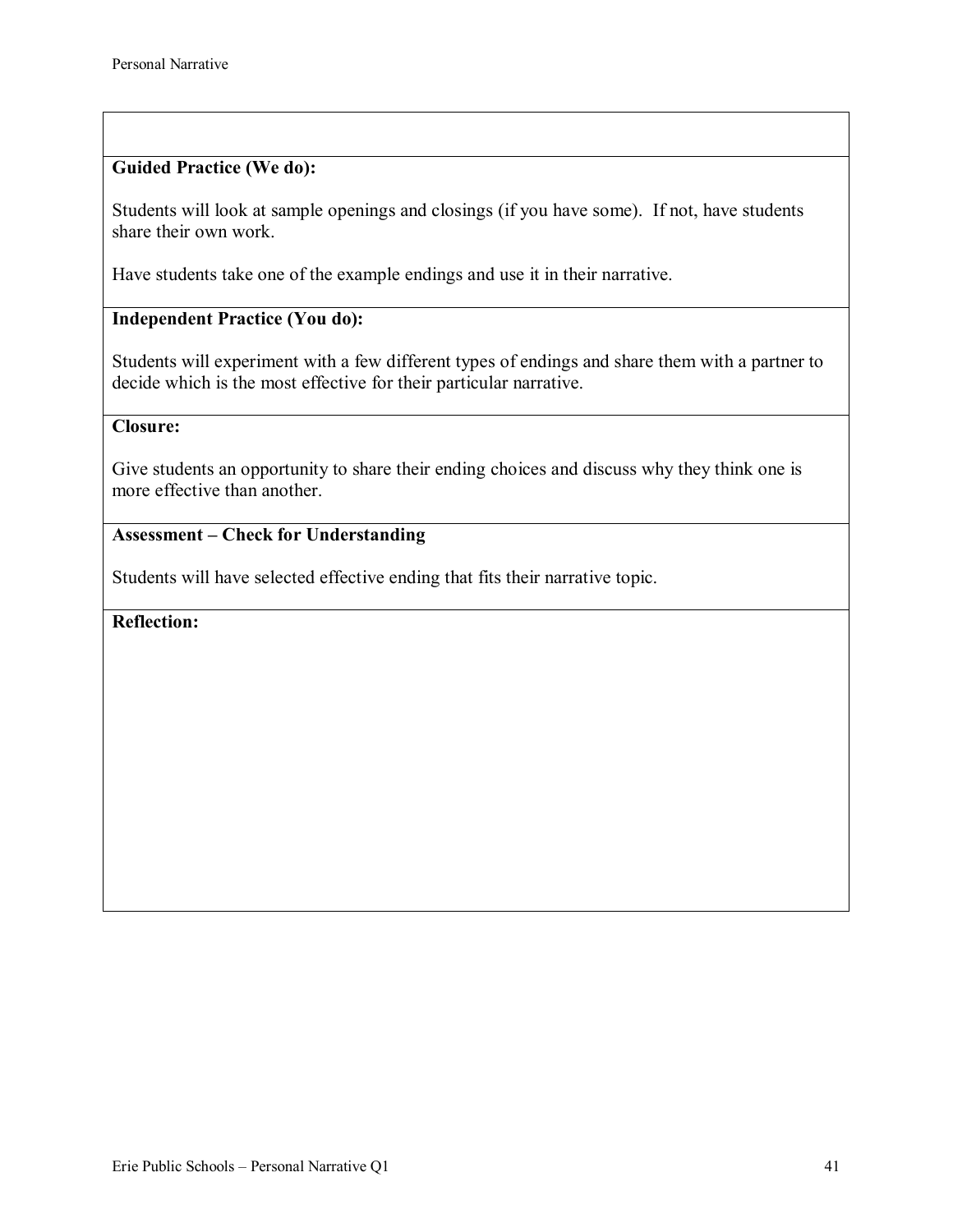### **Guided Practice (We do):**

Students will look at sample openings and closings (if you have some). If not, have students share their own work.

Have students take one of the example endings and use it in their narrative.

### **Independent Practice (You do):**

Students will experiment with a few different types of endings and share them with a partner to decide which is the most effective for their particular narrative.

#### **Closure:**

Give students an opportunity to share their ending choices and discuss why they think one is more effective than another.

#### **Assessment – Check for Understanding**

Students will have selected effective ending that fits their narrative topic.

#### **Reflection:**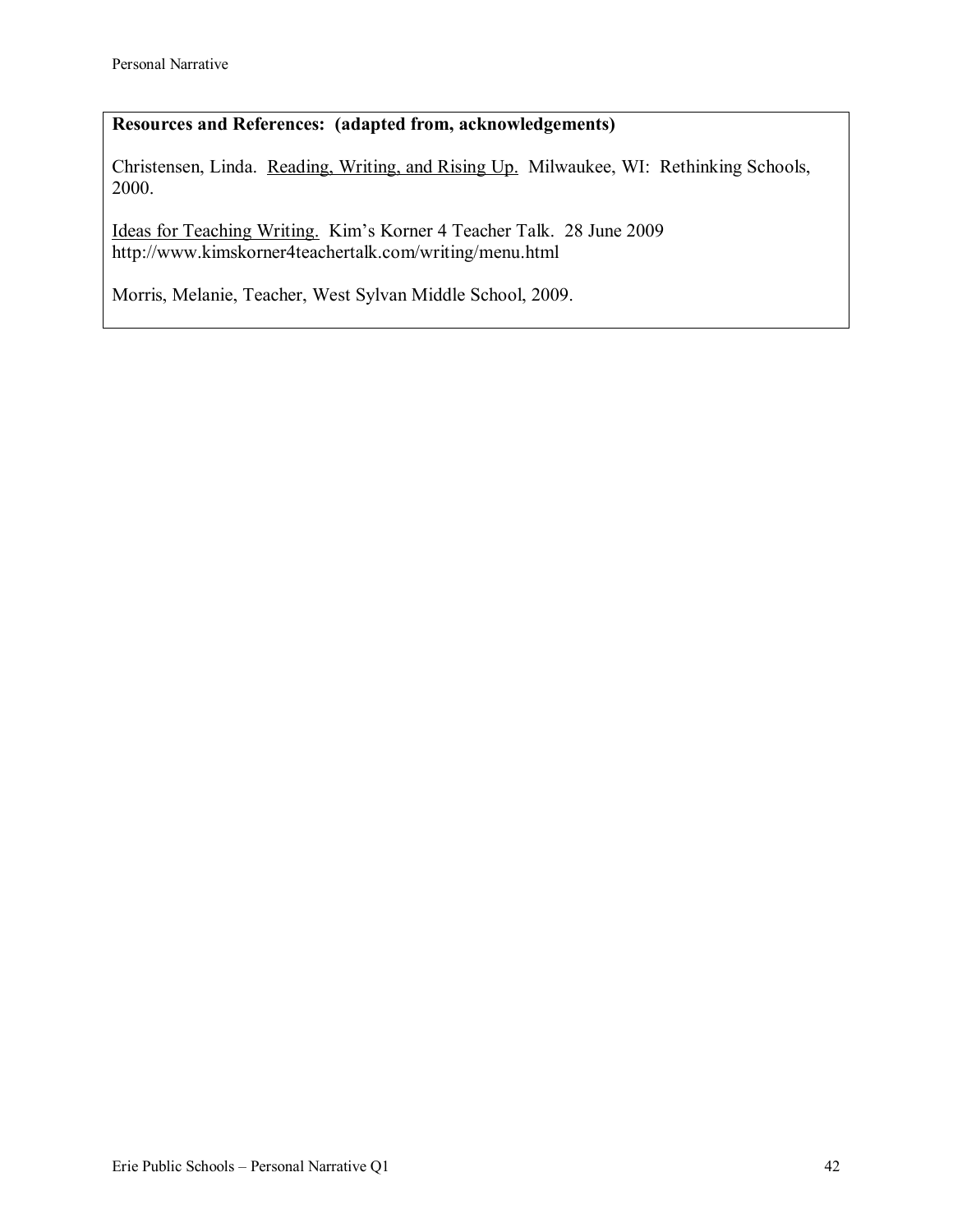## **Resources and References: (adapted from, acknowledgements)**

Christensen, Linda. Reading, Writing, and Rising Up. Milwaukee, WI: Rethinking Schools, 2000.

Ideas for Teaching Writing. Kim's Korner 4 Teacher Talk. 28 June 2009 http://www.kimskorner4teachertalk.com/writing/menu.html

Morris, Melanie, Teacher, West Sylvan Middle School, 2009.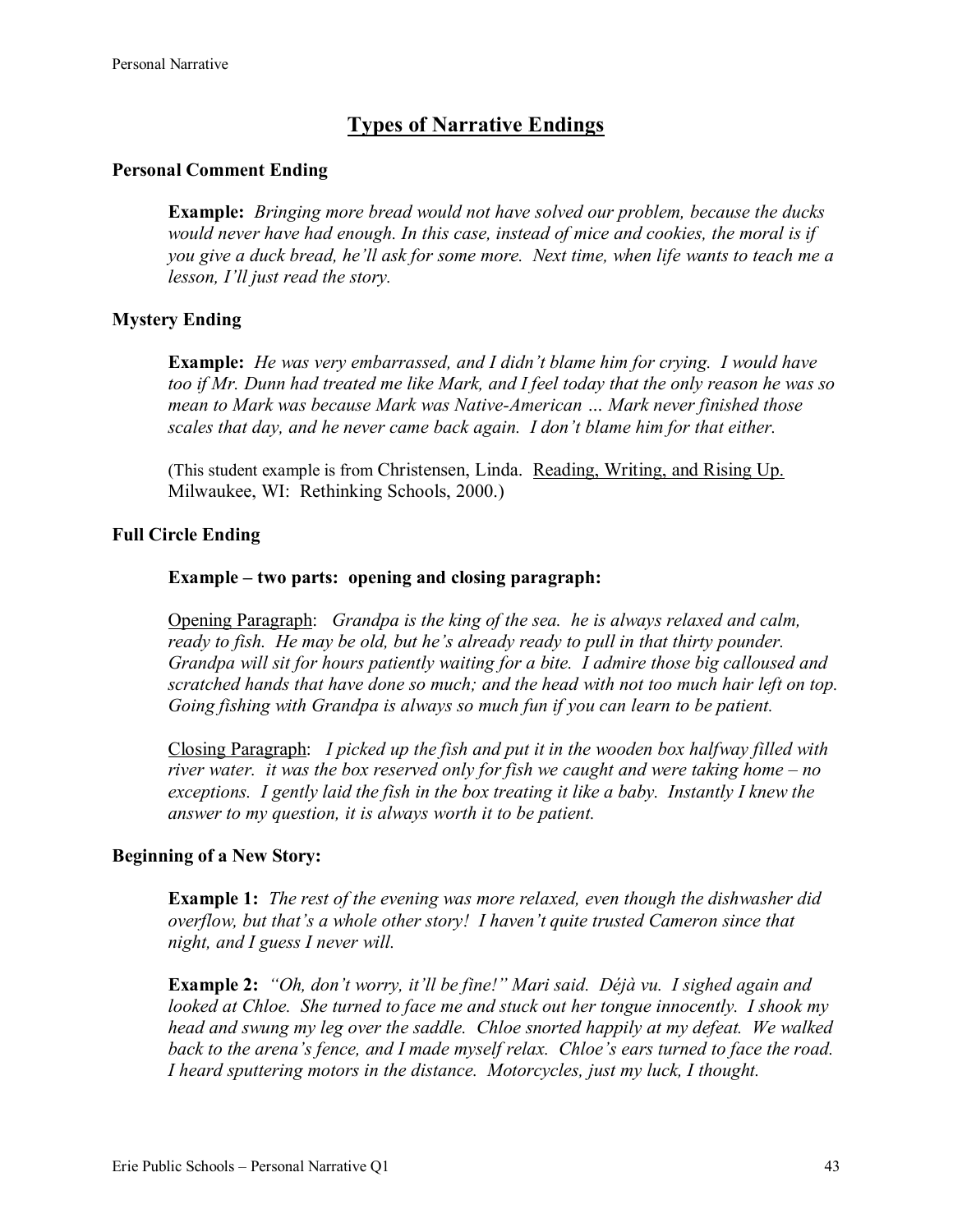## **Types of Narrative Endings**

#### **Personal Comment Ending**

**Example:** *Bringing more bread would not have solved our problem, because the ducks would never have had enough. In this case, instead of mice and cookies, the moral is if you give a duck bread, he'll ask for some more. Next time, when life wants to teach me a lesson, I'll just read the story.* 

#### **Mystery Ending**

**Example:** *He was very embarrassed, and I didn't blame him for crying. I would have too if Mr. Dunn had treated me like Mark, and I feel today that the only reason he was so mean to Mark was because Mark was Native-American … Mark never finished those scales that day, and he never came back again. I don't blame him for that either.*

(This student example is from Christensen, Linda. Reading, Writing, and Rising Up. Milwaukee, WI: Rethinking Schools, 2000.)

#### **Full Circle Ending**

#### **Example – two parts: opening and closing paragraph:**

Opening Paragraph: *Grandpa is the king of the sea. he is always relaxed and calm,*  ready to fish. He may be old, but he's already ready to pull in that thirty pounder. *Grandpa will sit for hours patiently waiting for a bite. I admire those big calloused and scratched hands that have done so much; and the head with not too much hair left on top. Going fishing with Grandpa is always so much fun if you can learn to be patient.*

Closing Paragraph: *I picked up the fish and put it in the wooden box halfway filled with river water. it was the box reserved only for fish we caught and were taking home – no exceptions. I gently laid the fish in the box treating it like a baby. Instantly I knew the answer to my question, it is always worth it to be patient.* 

#### **Beginning of a New Story:**

**Example 1:** *The rest of the evening was more relaxed, even though the dishwasher did overflow, but that's a whole other story! I haven't quite trusted Cameron since that night, and I guess I never will.* 

**Example 2:** *"Oh, don't worry, it'll be fine!" Mari said. Déjà vu. I sighed again and looked at Chloe. She turned to face me and stuck out her tongue innocently. I shook my head and swung my leg over the saddle. Chloe snorted happily at my defeat. We walked back to the arena's fence, and I made myself relax. Chloe's ears turned to face the road. I heard sputtering motors in the distance. Motorcycles, just my luck, I thought.*